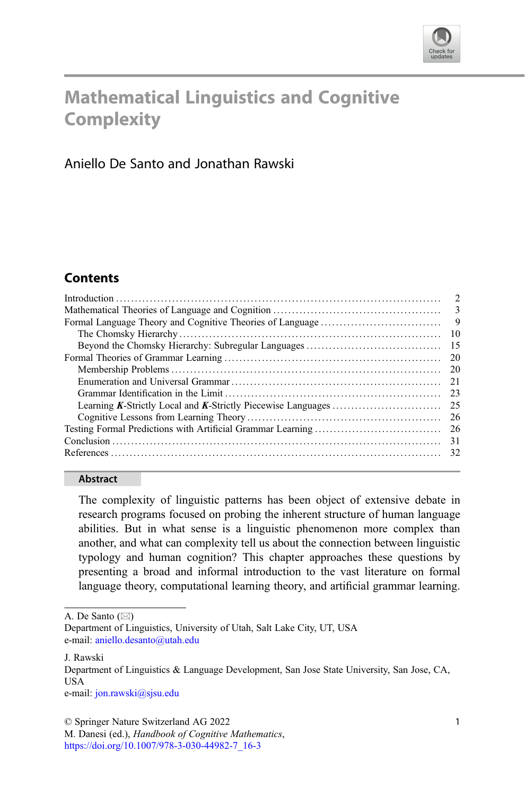

# Mathematical Linguistics and Cognitive **Complexity**

Aniello De Santo and Jonathan Rawski

## **Contents**

| - 9  |
|------|
| 10   |
| - 15 |
| -20  |
|      |
|      |
| 23   |
|      |
|      |
|      |
| -31  |
|      |

#### Abstract

The complexity of linguistic patterns has been object of extensive debate in research programs focused on probing the inherent structure of human language abilities. But in what sense is a linguistic phenomenon more complex than another, and what can complexity tell us about the connection between linguistic typology and human cognition? This chapter approaches these questions by presenting a broad and informal introduction to the vast literature on formal language theory, computational learning theory, and artificial grammar learning.

A. De Santo  $(\boxtimes)$ 

e-mail: [jon.rawski@sjsu.edu](mailto:jon.rawski@sjsu.edu)

© Springer Nature Switzerland AG 2022

M. Danesi (ed.), Handbook of Cognitive Mathematics, [https://doi.org/10.1007/978-3-030-44982-7\\_16-3](https://doi.org/10.1007/978-3-030-44982-7_16-3#DOI)

Department of Linguistics, University of Utah, Salt Lake City, UT, USA e-mail: [aniello.desanto@utah.edu](mailto:aniello.desanto@utah.edu)

J. Rawski

Department of Linguistics & Language Development, San Jose State University, San Jose, CA, USA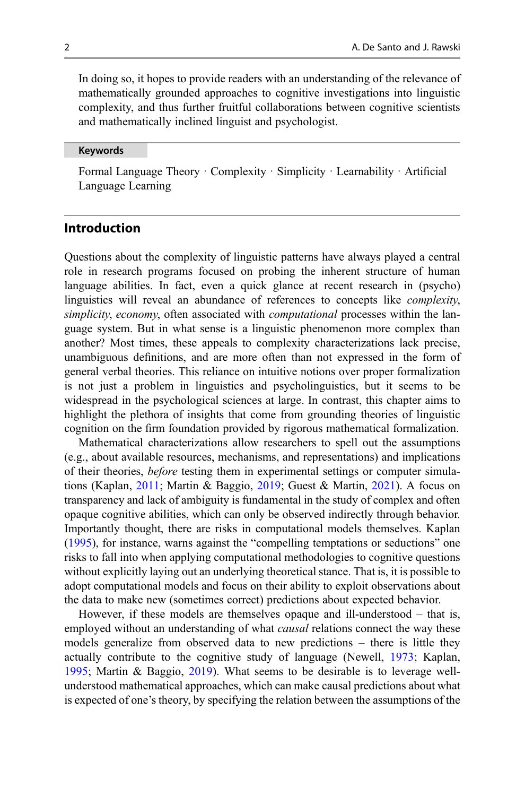In doing so, it hopes to provide readers with an understanding of the relevance of mathematically grounded approaches to cognitive investigations into linguistic complexity, and thus further fruitful collaborations between cognitive scientists and mathematically inclined linguist and psychologist.

#### Keywords

Formal Language Theory · Complexity · Simplicity · Learnability · Artificial Language Learning

## Introduction

Questions about the complexity of linguistic patterns have always played a central role in research programs focused on probing the inherent structure of human language abilities. In fact, even a quick glance at recent research in (psycho) linguistics will reveal an abundance of references to concepts like complexity, simplicity, economy, often associated with *computational* processes within the language system. But in what sense is a linguistic phenomenon more complex than another? Most times, these appeals to complexity characterizations lack precise, unambiguous definitions, and are more often than not expressed in the form of general verbal theories. This reliance on intuitive notions over proper formalization is not just a problem in linguistics and psycholinguistics, but it seems to be widespread in the psychological sciences at large. In contrast, this chapter aims to highlight the plethora of insights that come from grounding theories of linguistic cognition on the firm foundation provided by rigorous mathematical formalization.

Mathematical characterizations allow researchers to spell out the assumptions (e.g., about available resources, mechanisms, and representations) and implications of their theories, before testing them in experimental settings or computer simulations (Kaplan, [2011;](#page-34-0) Martin & Baggio, [2019](#page-35-0); Guest & Martin, [2021](#page-33-0)). A focus on transparency and lack of ambiguity is fundamental in the study of complex and often opaque cognitive abilities, which can only be observed indirectly through behavior. Importantly thought, there are risks in computational models themselves. Kaplan [\(1995](#page-34-0)), for instance, warns against the "compelling temptations or seductions" one risks to fall into when applying computational methodologies to cognitive questions without explicitly laying out an underlying theoretical stance. That is, it is possible to adopt computational models and focus on their ability to exploit observations about the data to make new (sometimes correct) predictions about expected behavior.

However, if these models are themselves opaque and ill-understood – that is, employed without an understanding of what *causal* relations connect the way these models generalize from observed data to new predictions – there is little they actually contribute to the cognitive study of language (Newell, [1973;](#page-35-0) Kaplan, [1995;](#page-34-0) Martin & Baggio, [2019](#page-35-0)). What seems to be desirable is to leverage wellunderstood mathematical approaches, which can make causal predictions about what is expected of one's theory, by specifying the relation between the assumptions of the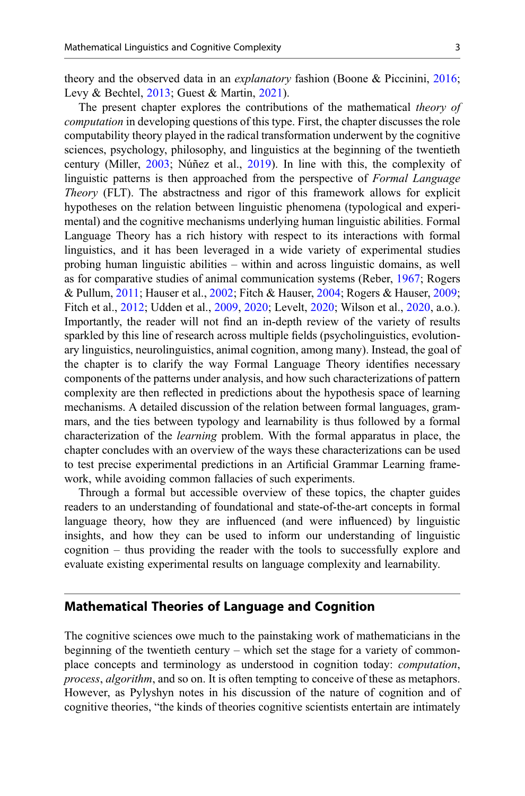<span id="page-2-0"></span>theory and the observed data in an explanatory fashion (Boone & Piccinini, [2016;](#page-32-0) Levy & Bechtel, [2013;](#page-34-0) Guest & Martin, [2021\)](#page-33-0).

The present chapter explores the contributions of the mathematical theory of computation in developing questions of this type. First, the chapter discusses the role computability theory played in the radical transformation underwent by the cognitive sciences, psychology, philosophy, and linguistics at the beginning of the twentieth century (Miller, [2003](#page-35-0); Núñez et al., [2019](#page-35-0)). In line with this, the complexity of linguistic patterns is then approached from the perspective of Formal Language Theory (FLT). The abstractness and rigor of this framework allows for explicit hypotheses on the relation between linguistic phenomena (typological and experimental) and the cognitive mechanisms underlying human linguistic abilities. Formal Language Theory has a rich history with respect to its interactions with formal linguistics, and it has been leveraged in a wide variety of experimental studies probing human linguistic abilities – within and across linguistic domains, as well as for comparative studies of animal communication systems (Reber, [1967;](#page-36-0) Rogers & Pullum, [2011;](#page-36-0) Hauser et al., [2002;](#page-33-0) Fitch & Hauser, [2004](#page-33-0); Rogers & Hauser, [2009;](#page-36-0) Fitch et al., [2012;](#page-33-0) Udden et al., [2009,](#page-36-0) [2020;](#page-36-0) Levelt, [2020](#page-34-0); Wilson et al., [2020](#page-37-0), a.o.). Importantly, the reader will not find an in-depth review of the variety of results sparkled by this line of research across multiple fields (psycholinguistics, evolutionary linguistics, neurolinguistics, animal cognition, among many). Instead, the goal of the chapter is to clarify the way Formal Language Theory identifies necessary components of the patterns under analysis, and how such characterizations of pattern complexity are then reflected in predictions about the hypothesis space of learning mechanisms. A detailed discussion of the relation between formal languages, grammars, and the ties between typology and learnability is thus followed by a formal characterization of the learning problem. With the formal apparatus in place, the chapter concludes with an overview of the ways these characterizations can be used to test precise experimental predictions in an Artificial Grammar Learning framework, while avoiding common fallacies of such experiments.

Through a formal but accessible overview of these topics, the chapter guides readers to an understanding of foundational and state-of-the-art concepts in formal language theory, how they are influenced (and were influenced) by linguistic insights, and how they can be used to inform our understanding of linguistic cognition – thus providing the reader with the tools to successfully explore and evaluate existing experimental results on language complexity and learnability.

## Mathematical Theories of Language and Cognition

The cognitive sciences owe much to the painstaking work of mathematicians in the beginning of the twentieth century – which set the stage for a variety of commonplace concepts and terminology as understood in cognition today: computation, process, algorithm, and so on. It is often tempting to conceive of these as metaphors. However, as Pylyshyn notes in his discussion of the nature of cognition and of cognitive theories, "the kinds of theories cognitive scientists entertain are intimately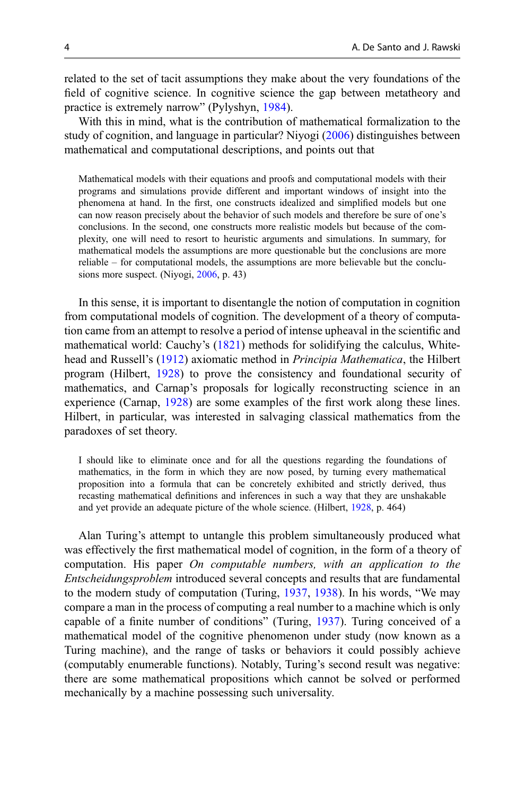related to the set of tacit assumptions they make about the very foundations of the field of cognitive science. In cognitive science the gap between metatheory and practice is extremely narrow" (Pylyshyn, [1984\)](#page-35-0).

With this in mind, what is the contribution of mathematical formalization to the study of cognition, and language in particular? Niyogi ([2006\)](#page-35-0) distinguishes between mathematical and computational descriptions, and points out that

Mathematical models with their equations and proofs and computational models with their programs and simulations provide different and important windows of insight into the phenomena at hand. In the first, one constructs idealized and simplified models but one can now reason precisely about the behavior of such models and therefore be sure of one's conclusions. In the second, one constructs more realistic models but because of the complexity, one will need to resort to heuristic arguments and simulations. In summary, for mathematical models the assumptions are more questionable but the conclusions are more reliable – for computational models, the assumptions are more believable but the conclusions more suspect. (Niyogi, [2006,](#page-35-0) p. 43)

In this sense, it is important to disentangle the notion of computation in cognition from computational models of cognition. The development of a theory of computation came from an attempt to resolve a period of intense upheaval in the scientific and mathematical world: Cauchy's ([1821\)](#page-32-0) methods for solidifying the calculus, Whitehead and Russell's [\(1912](#page-37-0)) axiomatic method in Principia Mathematica, the Hilbert program (Hilbert, [1928\)](#page-34-0) to prove the consistency and foundational security of mathematics, and Carnap's proposals for logically reconstructing science in an experience (Carnap, [1928\)](#page-32-0) are some examples of the first work along these lines. Hilbert, in particular, was interested in salvaging classical mathematics from the paradoxes of set theory.

I should like to eliminate once and for all the questions regarding the foundations of mathematics, in the form in which they are now posed, by turning every mathematical proposition into a formula that can be concretely exhibited and strictly derived, thus recasting mathematical definitions and inferences in such a way that they are unshakable and yet provide an adequate picture of the whole science. (Hilbert, [1928,](#page-34-0) p. 464)

Alan Turing's attempt to untangle this problem simultaneously produced what was effectively the first mathematical model of cognition, in the form of a theory of computation. His paper On computable numbers, with an application to the Entscheidungsproblem introduced several concepts and results that are fundamental to the modern study of computation (Turing, [1937](#page-36-0), [1938](#page-36-0)). In his words, "We may compare a man in the process of computing a real number to a machine which is only capable of a finite number of conditions" (Turing, [1937\)](#page-36-0). Turing conceived of a mathematical model of the cognitive phenomenon under study (now known as a Turing machine), and the range of tasks or behaviors it could possibly achieve (computably enumerable functions). Notably, Turing's second result was negative: there are some mathematical propositions which cannot be solved or performed mechanically by a machine possessing such universality.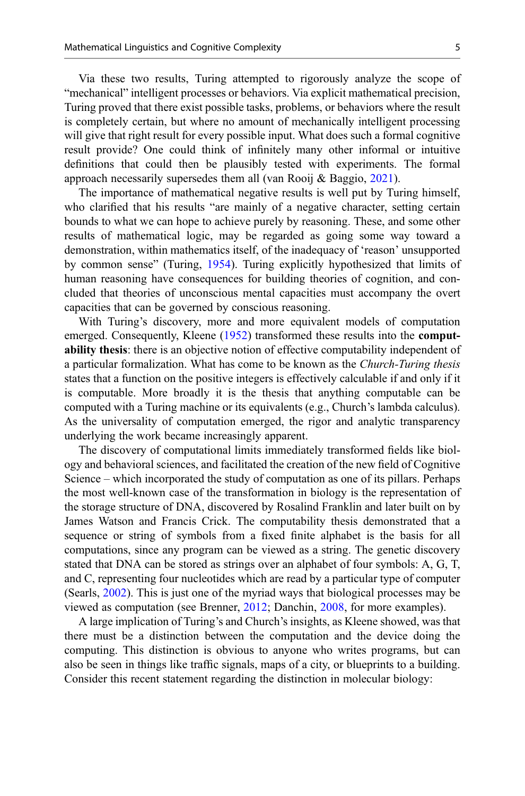Via these two results, Turing attempted to rigorously analyze the scope of "mechanical" intelligent processes or behaviors. Via explicit mathematical precision, Turing proved that there exist possible tasks, problems, or behaviors where the result is completely certain, but where no amount of mechanically intelligent processing will give that right result for every possible input. What does such a formal cognitive result provide? One could think of infinitely many other informal or intuitive definitions that could then be plausibly tested with experiments. The formal approach necessarily supersedes them all (van Rooij  $\&$  Baggio, [2021\)](#page-36-0).

The importance of mathematical negative results is well put by Turing himself, who clarified that his results "are mainly of a negative character, setting certain bounds to what we can hope to achieve purely by reasoning. These, and some other results of mathematical logic, may be regarded as going some way toward a demonstration, within mathematics itself, of the inadequacy of 'reason' unsupported by common sense" (Turing, [1954](#page-36-0)). Turing explicitly hypothesized that limits of human reasoning have consequences for building theories of cognition, and concluded that theories of unconscious mental capacities must accompany the overt capacities that can be governed by conscious reasoning.

With Turing's discovery, more and more equivalent models of computation emerged. Consequently, Kleene [\(1952](#page-34-0)) transformed these results into the computability thesis: there is an objective notion of effective computability independent of a particular formalization. What has come to be known as the *Church-Turing thesis* states that a function on the positive integers is effectively calculable if and only if it is computable. More broadly it is the thesis that anything computable can be computed with a Turing machine or its equivalents (e.g., Church's lambda calculus). As the universality of computation emerged, the rigor and analytic transparency underlying the work became increasingly apparent.

The discovery of computational limits immediately transformed fields like biology and behavioral sciences, and facilitated the creation of the new field of Cognitive Science – which incorporated the study of computation as one of its pillars. Perhaps the most well-known case of the transformation in biology is the representation of the storage structure of DNA, discovered by Rosalind Franklin and later built on by James Watson and Francis Crick. The computability thesis demonstrated that a sequence or string of symbols from a fixed finite alphabet is the basis for all computations, since any program can be viewed as a string. The genetic discovery stated that DNA can be stored as strings over an alphabet of four symbols: A, G, T, and C, representing four nucleotides which are read by a particular type of computer (Searls, [2002](#page-36-0)). This is just one of the myriad ways that biological processes may be viewed as computation (see Brenner, [2012;](#page-32-0) Danchin, [2008](#page-32-0), for more examples).

A large implication of Turing's and Church's insights, as Kleene showed, was that there must be a distinction between the computation and the device doing the computing. This distinction is obvious to anyone who writes programs, but can also be seen in things like traffic signals, maps of a city, or blueprints to a building. Consider this recent statement regarding the distinction in molecular biology: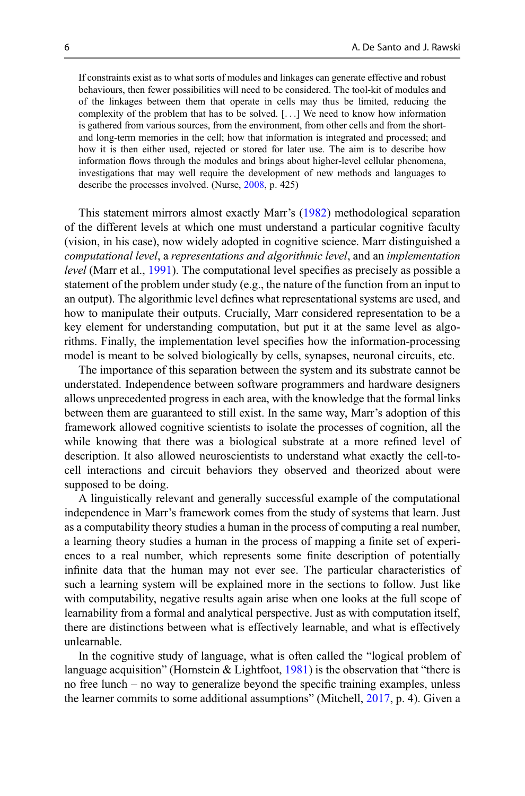If constraints exist as to what sorts of modules and linkages can generate effective and robust behaviours, then fewer possibilities will need to be considered. The tool-kit of modules and of the linkages between them that operate in cells may thus be limited, reducing the complexity of the problem that has to be solved. [...] We need to know how information is gathered from various sources, from the environment, from other cells and from the shortand long-term memories in the cell; how that information is integrated and processed; and how it is then either used, rejected or stored for later use. The aim is to describe how information flows through the modules and brings about higher-level cellular phenomena, investigations that may well require the development of new methods and languages to describe the processes involved. (Nurse, [2008](#page-35-0), p. 425)

This statement mirrors almost exactly Marr's ([1982\)](#page-35-0) methodological separation of the different levels at which one must understand a particular cognitive faculty (vision, in his case), now widely adopted in cognitive science. Marr distinguished a computational level, a representations and algorithmic level, and an implementation level (Marr et al., [1991](#page-35-0)). The computational level specifies as precisely as possible a statement of the problem under study (e.g., the nature of the function from an input to an output). The algorithmic level defines what representational systems are used, and how to manipulate their outputs. Crucially, Marr considered representation to be a key element for understanding computation, but put it at the same level as algorithms. Finally, the implementation level specifies how the information-processing model is meant to be solved biologically by cells, synapses, neuronal circuits, etc.

The importance of this separation between the system and its substrate cannot be understated. Independence between software programmers and hardware designers allows unprecedented progress in each area, with the knowledge that the formal links between them are guaranteed to still exist. In the same way, Marr's adoption of this framework allowed cognitive scientists to isolate the processes of cognition, all the while knowing that there was a biological substrate at a more refined level of description. It also allowed neuroscientists to understand what exactly the cell-tocell interactions and circuit behaviors they observed and theorized about were supposed to be doing.

A linguistically relevant and generally successful example of the computational independence in Marr's framework comes from the study of systems that learn. Just as a computability theory studies a human in the process of computing a real number, a learning theory studies a human in the process of mapping a finite set of experiences to a real number, which represents some finite description of potentially infinite data that the human may not ever see. The particular characteristics of such a learning system will be explained more in the sections to follow. Just like with computability, negative results again arise when one looks at the full scope of learnability from a formal and analytical perspective. Just as with computation itself, there are distinctions between what is effectively learnable, and what is effectively unlearnable.

In the cognitive study of language, what is often called the "logical problem of language acquisition" (Hornstein & Lightfoot, [1981](#page-34-0)) is the observation that "there is no free lunch – no way to generalize beyond the specific training examples, unless the learner commits to some additional assumptions" (Mitchell, [2017,](#page-35-0) p. 4). Given a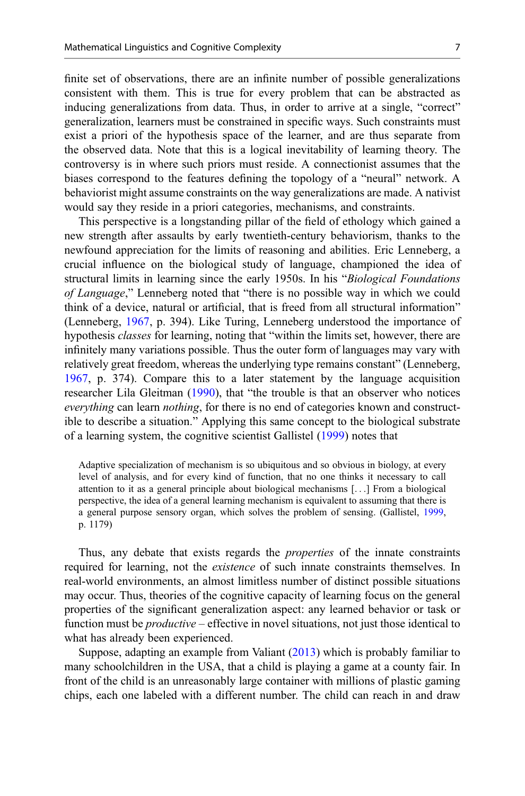finite set of observations, there are an infinite number of possible generalizations consistent with them. This is true for every problem that can be abstracted as inducing generalizations from data. Thus, in order to arrive at a single, "correct" generalization, learners must be constrained in specific ways. Such constraints must exist a priori of the hypothesis space of the learner, and are thus separate from the observed data. Note that this is a logical inevitability of learning theory. The controversy is in where such priors must reside. A connectionist assumes that the biases correspond to the features defining the topology of a "neural" network. A behaviorist might assume constraints on the way generalizations are made. A nativist would say they reside in a priori categories, mechanisms, and constraints.

This perspective is a longstanding pillar of the field of ethology which gained a new strength after assaults by early twentieth-century behaviorism, thanks to the newfound appreciation for the limits of reasoning and abilities. Eric Lenneberg, a crucial influence on the biological study of language, championed the idea of structural limits in learning since the early 1950s. In his "Biological Foundations" of Language," Lenneberg noted that "there is no possible way in which we could think of a device, natural or artificial, that is freed from all structural information" (Lenneberg, [1967](#page-34-0), p. 394). Like Turing, Lenneberg understood the importance of hypothesis classes for learning, noting that "within the limits set, however, there are infinitely many variations possible. Thus the outer form of languages may vary with relatively great freedom, whereas the underlying type remains constant" (Lenneberg, [1967,](#page-34-0) p. 374). Compare this to a later statement by the language acquisition researcher Lila Gleitman [\(1990](#page-33-0)), that "the trouble is that an observer who notices everything can learn *nothing*, for there is no end of categories known and constructible to describe a situation." Applying this same concept to the biological substrate of a learning system, the cognitive scientist Gallistel ([1999\)](#page-33-0) notes that

Adaptive specialization of mechanism is so ubiquitous and so obvious in biology, at every level of analysis, and for every kind of function, that no one thinks it necessary to call attention to it as a general principle about biological mechanisms [...] From a biological perspective, the idea of a general learning mechanism is equivalent to assuming that there is a general purpose sensory organ, which solves the problem of sensing. (Gallistel, [1999](#page-33-0), p. 1179)

Thus, any debate that exists regards the properties of the innate constraints required for learning, not the *existence* of such innate constraints themselves. In real-world environments, an almost limitless number of distinct possible situations may occur. Thus, theories of the cognitive capacity of learning focus on the general properties of the significant generalization aspect: any learned behavior or task or function must be *productive* – effective in novel situations, not just those identical to what has already been experienced.

Suppose, adapting an example from Valiant ([2013\)](#page-36-0) which is probably familiar to many schoolchildren in the USA, that a child is playing a game at a county fair. In front of the child is an unreasonably large container with millions of plastic gaming chips, each one labeled with a different number. The child can reach in and draw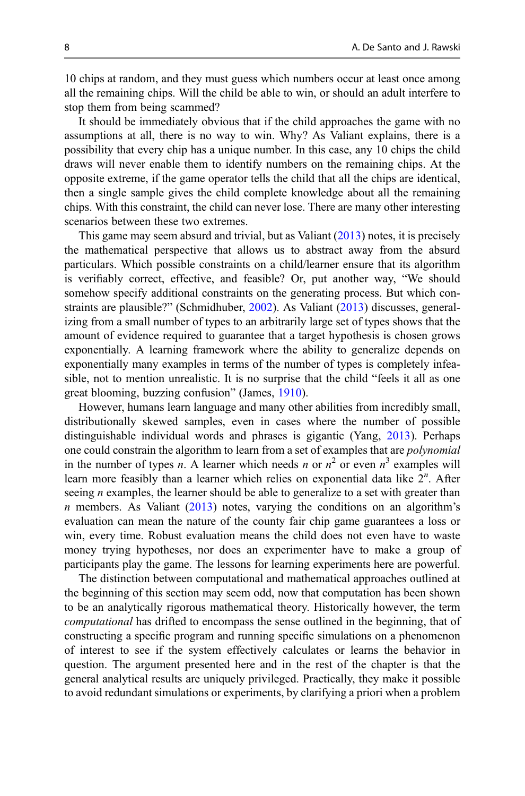10 chips at random, and they must guess which numbers occur at least once among all the remaining chips. Will the child be able to win, or should an adult interfere to stop them from being scammed?

It should be immediately obvious that if the child approaches the game with no assumptions at all, there is no way to win. Why? As Valiant explains, there is a possibility that every chip has a unique number. In this case, any 10 chips the child draws will never enable them to identify numbers on the remaining chips. At the opposite extreme, if the game operator tells the child that all the chips are identical, then a single sample gives the child complete knowledge about all the remaining chips. With this constraint, the child can never lose. There are many other interesting scenarios between these two extremes.

This game may seem absurd and trivial, but as Valiant ([2013\)](#page-36-0) notes, it is precisely the mathematical perspective that allows us to abstract away from the absurd particulars. Which possible constraints on a child/learner ensure that its algorithm is verifiably correct, effective, and feasible? Or, put another way, "We should somehow specify additional constraints on the generating process. But which con-straints are plausible?" (Schmidhuber, [2002](#page-36-0)). As Valiant ([2013\)](#page-36-0) discusses, generalizing from a small number of types to an arbitrarily large set of types shows that the amount of evidence required to guarantee that a target hypothesis is chosen grows exponentially. A learning framework where the ability to generalize depends on exponentially many examples in terms of the number of types is completely infeasible, not to mention unrealistic. It is no surprise that the child "feels it all as one great blooming, buzzing confusion" (James, [1910\)](#page-34-0).

However, humans learn language and many other abilities from incredibly small, distributionally skewed samples, even in cases where the number of possible distinguishable individual words and phrases is gigantic (Yang, [2013\)](#page-37-0). Perhaps one could constrain the algorithm to learn from a set of examples that are *polynomial* in the number of types *n*. A learner which needs *n* or  $n^2$  or even  $n^3$  examples will learn more feasibly than a learner which relies on exponential data like  $2^n$ . After seeing  $n$  examples, the learner should be able to generalize to a set with greater than  $n$  members. As Valiant [\(2013](#page-36-0)) notes, varying the conditions on an algorithm's evaluation can mean the nature of the county fair chip game guarantees a loss or win, every time. Robust evaluation means the child does not even have to waste money trying hypotheses, nor does an experimenter have to make a group of participants play the game. The lessons for learning experiments here are powerful.

The distinction between computational and mathematical approaches outlined at the beginning of this section may seem odd, now that computation has been shown to be an analytically rigorous mathematical theory. Historically however, the term computational has drifted to encompass the sense outlined in the beginning, that of constructing a specific program and running specific simulations on a phenomenon of interest to see if the system effectively calculates or learns the behavior in question. The argument presented here and in the rest of the chapter is that the general analytical results are uniquely privileged. Practically, they make it possible to avoid redundant simulations or experiments, by clarifying a priori when a problem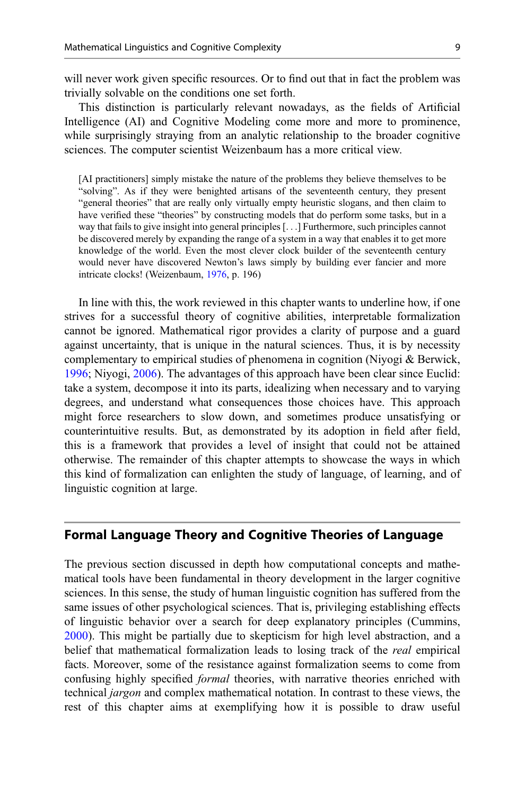<span id="page-8-0"></span>will never work given specific resources. Or to find out that in fact the problem was trivially solvable on the conditions one set forth.

This distinction is particularly relevant nowadays, as the fields of Artificial Intelligence (AI) and Cognitive Modeling come more and more to prominence, while surprisingly straying from an analytic relationship to the broader cognitive sciences. The computer scientist Weizenbaum has a more critical view.

[AI practitioners] simply mistake the nature of the problems they believe themselves to be "solving". As if they were benighted artisans of the seventeenth century, they present "general theories" that are really only virtually empty heuristic slogans, and then claim to have verified these "theories" by constructing models that do perform some tasks, but in a way that fails to give insight into general principles [...] Furthermore, such principles cannot be discovered merely by expanding the range of a system in a way that enables it to get more knowledge of the world. Even the most clever clock builder of the seventeenth century would never have discovered Newton's laws simply by building ever fancier and more intricate clocks! (Weizenbaum, [1976,](#page-36-0) p. 196)

In line with this, the work reviewed in this chapter wants to underline how, if one strives for a successful theory of cognitive abilities, interpretable formalization cannot be ignored. Mathematical rigor provides a clarity of purpose and a guard against uncertainty, that is unique in the natural sciences. Thus, it is by necessity complementary to empirical studies of phenomena in cognition (Niyogi & Berwick, [1996;](#page-35-0) Niyogi, [2006\)](#page-35-0). The advantages of this approach have been clear since Euclid: take a system, decompose it into its parts, idealizing when necessary and to varying degrees, and understand what consequences those choices have. This approach might force researchers to slow down, and sometimes produce unsatisfying or counterintuitive results. But, as demonstrated by its adoption in field after field, this is a framework that provides a level of insight that could not be attained otherwise. The remainder of this chapter attempts to showcase the ways in which this kind of formalization can enlighten the study of language, of learning, and of linguistic cognition at large.

## Formal Language Theory and Cognitive Theories of Language

The previous section discussed in depth how computational concepts and mathematical tools have been fundamental in theory development in the larger cognitive sciences. In this sense, the study of human linguistic cognition has suffered from the same issues of other psychological sciences. That is, privileging establishing effects of linguistic behavior over a search for deep explanatory principles (Cummins, [2000\)](#page-32-0). This might be partially due to skepticism for high level abstraction, and a belief that mathematical formalization leads to losing track of the *real* empirical facts. Moreover, some of the resistance against formalization seems to come from confusing highly specified *formal* theories, with narrative theories enriched with technical jargon and complex mathematical notation. In contrast to these views, the rest of this chapter aims at exemplifying how it is possible to draw useful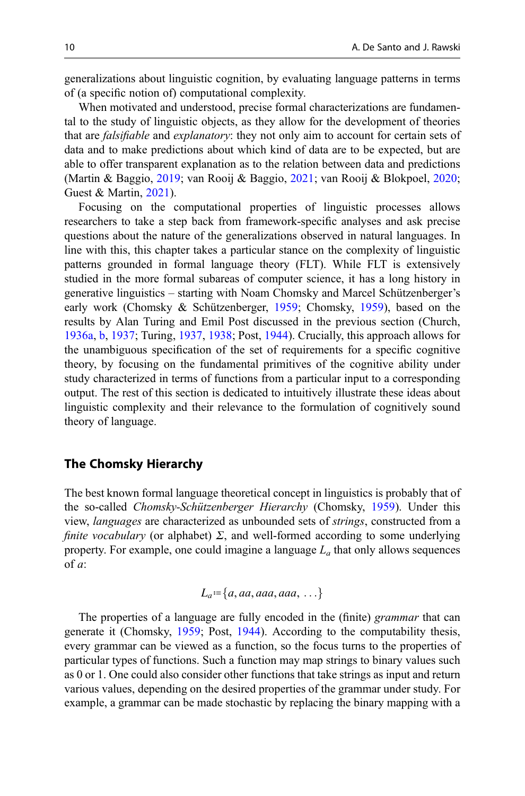generalizations about linguistic cognition, by evaluating language patterns in terms of (a specific notion of) computational complexity.

When motivated and understood, precise formal characterizations are fundamental to the study of linguistic objects, as they allow for the development of theories that are falsifiable and explanatory: they not only aim to account for certain sets of data and to make predictions about which kind of data are to be expected, but are able to offer transparent explanation as to the relation between data and predictions (Martin & Baggio, [2019](#page-35-0); van Rooij & Baggio, [2021](#page-36-0); van Rooij & Blokpoel, [2020;](#page-36-0) Guest & Martin, [2021](#page-33-0)).

Focusing on the computational properties of linguistic processes allows researchers to take a step back from framework-specific analyses and ask precise questions about the nature of the generalizations observed in natural languages. In line with this, this chapter takes a particular stance on the complexity of linguistic patterns grounded in formal language theory (FLT). While FLT is extensively studied in the more formal subareas of computer science, it has a long history in generative linguistics – starting with Noam Chomsky and Marcel Schützenberger's early work (Chomsky & Schützenberger, [1959](#page-32-0); Chomsky, [1959](#page-32-0)), based on the results by Alan Turing and Emil Post discussed in the previous section (Church, [1936a](#page-32-0), [b](#page-32-0), [1937;](#page-32-0) Turing, [1937,](#page-36-0) [1938](#page-36-0); Post, [1944](#page-35-0)). Crucially, this approach allows for the unambiguous specification of the set of requirements for a specific cognitive theory, by focusing on the fundamental primitives of the cognitive ability under study characterized in terms of functions from a particular input to a corresponding output. The rest of this section is dedicated to intuitively illustrate these ideas about linguistic complexity and their relevance to the formulation of cognitively sound theory of language.

## The Chomsky Hierarchy

The best known formal language theoretical concept in linguistics is probably that of the so-called Chomsky-Schützenberger Hierarchy (Chomsky, [1959\)](#page-32-0). Under this view, languages are characterized as unbounded sets of strings, constructed from a finite vocabulary (or alphabet)  $\Sigma$ , and well-formed according to some underlying property. For example, one could imagine a language  $L_a$  that only allows sequences of a:

$$
L_a = \{a, aa, aaa, aaa, \ldots\}
$$

The properties of a language are fully encoded in the (finite) *grammar* that can generate it (Chomsky, [1959;](#page-32-0) Post, [1944](#page-35-0)). According to the computability thesis, every grammar can be viewed as a function, so the focus turns to the properties of particular types of functions. Such a function may map strings to binary values such as 0 or 1. One could also consider other functions that take strings as input and return various values, depending on the desired properties of the grammar under study. For example, a grammar can be made stochastic by replacing the binary mapping with a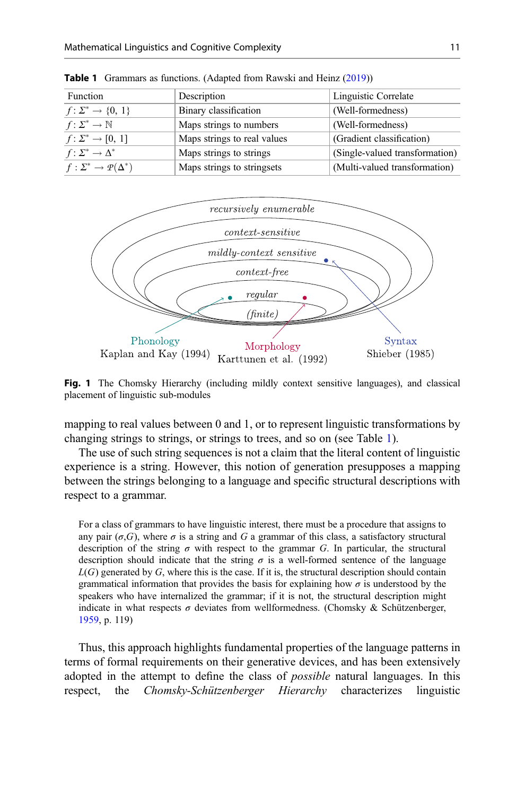| Function                                | Description                 | Linguistic Correlate           |
|-----------------------------------------|-----------------------------|--------------------------------|
| $f: \Sigma^* \to \{0, 1\}$              | Binary classification       | (Well-formedness)              |
| $f: \Sigma^* \to \mathbb{N}$            | Maps strings to numbers     | (Well-formedness)              |
| $f: \Sigma^* \to [0, 1]$                | Maps strings to real values | (Gradient classification)      |
| $f: \Sigma^* \to \Delta^*$              | Maps strings to strings     | (Single-valued transformation) |
| $f: \Sigma^* \to \mathcal{P}(\Delta^*)$ | Maps strings to stringsets  | (Multi-valued transformation)  |
|                                         |                             |                                |

<span id="page-10-0"></span>Table 1 Grammars as functions. (Adapted from Rawski and Heinz ([2019\)](#page-35-0))



Fig. 1 The Chomsky Hierarchy (including mildly context sensitive languages), and classical placement of linguistic sub-modules

mapping to real values between 0 and 1, or to represent linguistic transformations by changing strings to strings, or strings to trees, and so on (see Table 1).

The use of such string sequences is not a claim that the literal content of linguistic experience is a string. However, this notion of generation presupposes a mapping between the strings belonging to a language and specific structural descriptions with respect to a grammar.

For a class of grammars to have linguistic interest, there must be a procedure that assigns to any pair  $(\sigma, G)$ , where  $\sigma$  is a string and G a grammar of this class, a satisfactory structural description of the string  $\sigma$  with respect to the grammar G. In particular, the structural description should indicate that the string  $\sigma$  is a well-formed sentence of the language  $L(G)$  generated by G, where this is the case. If it is, the structural description should contain grammatical information that provides the basis for explaining how  $\sigma$  is understood by the speakers who have internalized the grammar; if it is not, the structural description might indicate in what respects  $\sigma$  deviates from wellformedness. (Chomsky & Schützenberger, [1959,](#page-32-0) p. 119)

Thus, this approach highlights fundamental properties of the language patterns in terms of formal requirements on their generative devices, and has been extensively adopted in the attempt to define the class of *possible* natural languages. In this respect, the Chomsky-Schützenberger Hierarchy characterizes linguistic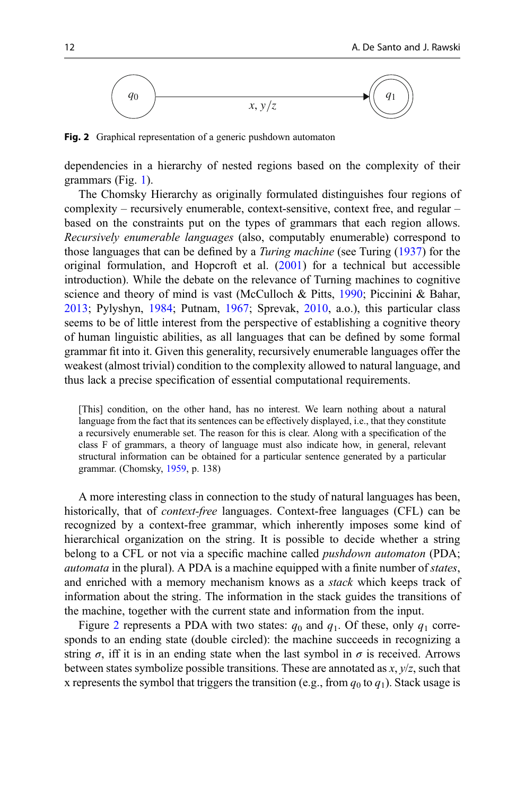

Fig. 2 Graphical representation of a generic pushdown automaton

dependencies in a hierarchy of nested regions based on the complexity of their grammars (Fig. [1\)](#page-10-0).

The Chomsky Hierarchy as originally formulated distinguishes four regions of complexity – recursively enumerable, context-sensitive, context free, and regular – based on the constraints put on the types of grammars that each region allows. Recursively enumerable languages (also, computably enumerable) correspond to those languages that can be defined by a Turing machine (see Turing ([1937](#page-36-0)) for the original formulation, and Hopcroft et al.  $(2001)$  $(2001)$  for a technical but accessible introduction). While the debate on the relevance of Turning machines to cognitive science and theory of mind is vast (McCulloch & Pitts, [1990;](#page-35-0) Piccinini & Bahar, [2013;](#page-35-0) Pylyshyn, [1984;](#page-35-0) Putnam, [1967;](#page-35-0) Sprevak, [2010,](#page-36-0) a.o.), this particular class seems to be of little interest from the perspective of establishing a cognitive theory of human linguistic abilities, as all languages that can be defined by some formal grammar fit into it. Given this generality, recursively enumerable languages offer the weakest (almost trivial) condition to the complexity allowed to natural language, and thus lack a precise specification of essential computational requirements.

[This] condition, on the other hand, has no interest. We learn nothing about a natural language from the fact that its sentences can be effectively displayed, i.e., that they constitute a recursively enumerable set. The reason for this is clear. Along with a specification of the class F of grammars, a theory of language must also indicate how, in general, relevant structural information can be obtained for a particular sentence generated by a particular grammar. (Chomsky, [1959](#page-32-0), p. 138)

A more interesting class in connection to the study of natural languages has been, historically, that of context-free languages. Context-free languages (CFL) can be recognized by a context-free grammar, which inherently imposes some kind of hierarchical organization on the string. It is possible to decide whether a string belong to a CFL or not via a specific machine called *pushdown automaton* (PDA; automata in the plural). A PDA is a machine equipped with a finite number of states, and enriched with a memory mechanism knows as a stack which keeps track of information about the string. The information in the stack guides the transitions of the machine, together with the current state and information from the input.

Figure 2 represents a PDA with two states:  $q_0$  and  $q_1$ . Of these, only  $q_1$  corresponds to an ending state (double circled): the machine succeeds in recognizing a string  $\sigma$ , iff it is in an ending state when the last symbol in  $\sigma$  is received. Arrows between states symbolize possible transitions. These are annotated as  $x, y/z$ , such that x represents the symbol that triggers the transition (e.g., from  $q_0$  to  $q_1$ ). Stack usage is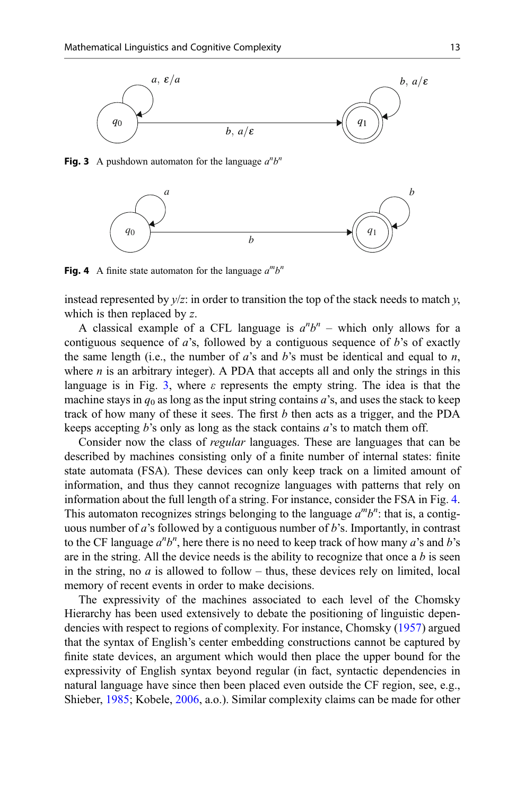

Fig. 3 A pushdown automaton for the language  $a^n b^n$ 



Fig. 4 A finite state automaton for the language  $a^m b^n$ 

instead represented by  $y/z$ : in order to transition the top of the stack needs to match  $y$ , which is then replaced by z.

A classical example of a CFL language is  $a^n b^n$  – which only allows for a contiguous sequence of  $a$ 's, followed by a contiguous sequence of  $b$ 's of exactly the same length (i.e., the number of  $a$ 's and  $b$ 's must be identical and equal to  $n$ , where  $n$  is an arbitrary integer). A PDA that accepts all and only the strings in this language is in Fig. 3, where  $\varepsilon$  represents the empty string. The idea is that the machine stays in  $q_0$  as long as the input string contains a's, and uses the stack to keep track of how many of these it sees. The first  $b$  then acts as a trigger, and the PDA keeps accepting b's only as long as the stack contains  $a$ 's to match them off.

Consider now the class of regular languages. These are languages that can be described by machines consisting only of a finite number of internal states: finite state automata (FSA). These devices can only keep track on a limited amount of information, and thus they cannot recognize languages with patterns that rely on information about the full length of a string. For instance, consider the FSA in Fig. 4. This automaton recognizes strings belonging to the language  $a^m b^n$ : that is, a contiguous number of a's followed by a contiguous number of b's. Importantly, in contrast to the CF language  $a^n b^n$ , here there is no need to keep track of how many  $a$ 's and  $b$ 's are in the string. All the device needs is the ability to recognize that once a  $b$  is seen in the string, no  $\alpha$  is allowed to follow – thus, these devices rely on limited, local memory of recent events in order to make decisions.

The expressivity of the machines associated to each level of the Chomsky Hierarchy has been used extensively to debate the positioning of linguistic dependencies with respect to regions of complexity. For instance, Chomsky [\(1957](#page-32-0)) argued that the syntax of English's center embedding constructions cannot be captured by finite state devices, an argument which would then place the upper bound for the expressivity of English syntax beyond regular (in fact, syntactic dependencies in natural language have since then been placed even outside the CF region, see, e.g., Shieber, [1985](#page-36-0); Kobele, [2006,](#page-34-0) a.o.). Similar complexity claims can be made for other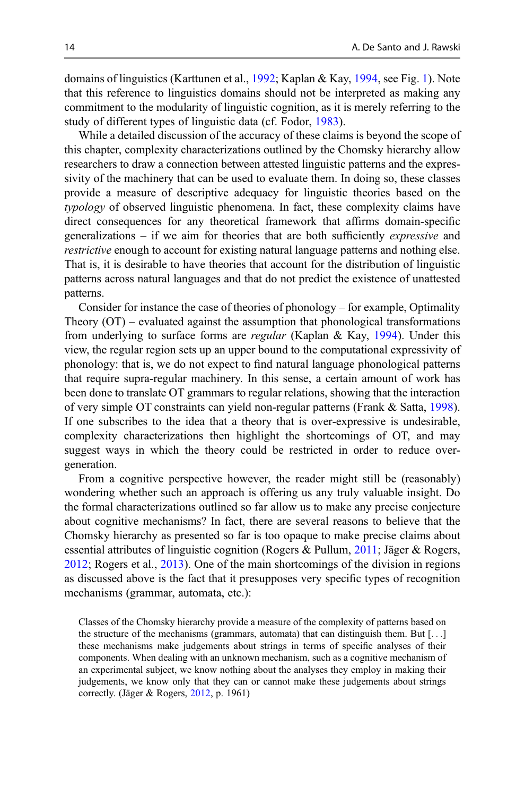domains of linguistics (Karttunen et al., [1992;](#page-34-0) Kaplan & Kay, [1994](#page-34-0), see Fig. [1](#page-10-0)). Note that this reference to linguistics domains should not be interpreted as making any commitment to the modularity of linguistic cognition, as it is merely referring to the study of different types of linguistic data (cf. Fodor, [1983\)](#page-33-0).

While a detailed discussion of the accuracy of these claims is beyond the scope of this chapter, complexity characterizations outlined by the Chomsky hierarchy allow researchers to draw a connection between attested linguistic patterns and the expressivity of the machinery that can be used to evaluate them. In doing so, these classes provide a measure of descriptive adequacy for linguistic theories based on the typology of observed linguistic phenomena. In fact, these complexity claims have direct consequences for any theoretical framework that affirms domain-specific generalizations – if we aim for theories that are both sufficiently expressive and restrictive enough to account for existing natural language patterns and nothing else. That is, it is desirable to have theories that account for the distribution of linguistic patterns across natural languages and that do not predict the existence of unattested patterns.

Consider for instance the case of theories of phonology – for example, Optimality Theory  $(OT)$  – evaluated against the assumption that phonological transformations from underlying to surface forms are regular (Kaplan & Kay, [1994](#page-34-0)). Under this view, the regular region sets up an upper bound to the computational expressivity of phonology: that is, we do not expect to find natural language phonological patterns that require supra-regular machinery. In this sense, a certain amount of work has been done to translate OT grammars to regular relations, showing that the interaction of very simple OT constraints can yield non-regular patterns (Frank & Satta, [1998\)](#page-33-0). If one subscribes to the idea that a theory that is over-expressive is undesirable, complexity characterizations then highlight the shortcomings of OT, and may suggest ways in which the theory could be restricted in order to reduce overgeneration.

From a cognitive perspective however, the reader might still be (reasonably) wondering whether such an approach is offering us any truly valuable insight. Do the formal characterizations outlined so far allow us to make any precise conjecture about cognitive mechanisms? In fact, there are several reasons to believe that the Chomsky hierarchy as presented so far is too opaque to make precise claims about essential attributes of linguistic cognition (Rogers & Pullum, [2011](#page-36-0); Jäger & Rogers, [2012;](#page-34-0) Rogers et al., [2013](#page-36-0)). One of the main shortcomings of the division in regions as discussed above is the fact that it presupposes very specific types of recognition mechanisms (grammar, automata, etc.):

Classes of the Chomsky hierarchy provide a measure of the complexity of patterns based on the structure of the mechanisms (grammars, automata) that can distinguish them. But  $[\ldots]$ these mechanisms make judgements about strings in terms of specific analyses of their components. When dealing with an unknown mechanism, such as a cognitive mechanism of an experimental subject, we know nothing about the analyses they employ in making their judgements, we know only that they can or cannot make these judgements about strings correctly. (Jäger & Rogers, [2012](#page-34-0), p. 1961)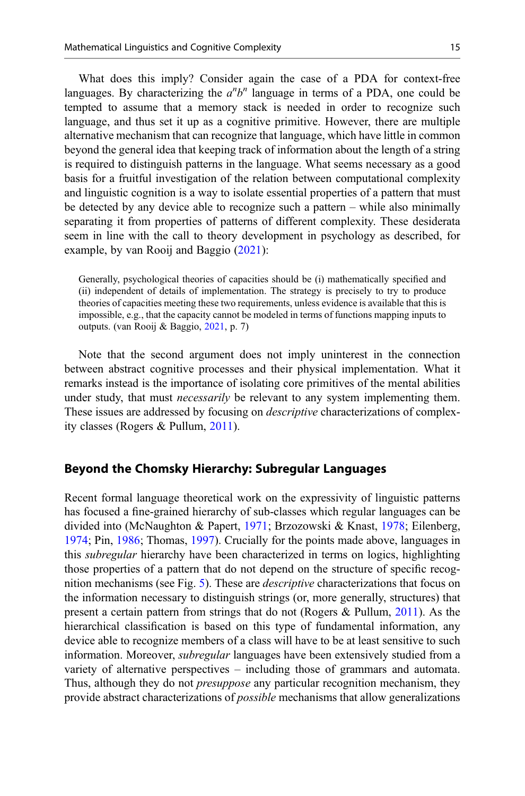What does this imply? Consider again the case of a PDA for context-free languages. By characterizing the  $a^n b^n$  language in terms of a PDA, one could be tempted to assume that a memory stack is needed in order to recognize such language, and thus set it up as a cognitive primitive. However, there are multiple alternative mechanism that can recognize that language, which have little in common beyond the general idea that keeping track of information about the length of a string is required to distinguish patterns in the language. What seems necessary as a good basis for a fruitful investigation of the relation between computational complexity and linguistic cognition is a way to isolate essential properties of a pattern that must be detected by any device able to recognize such a pattern – while also minimally separating it from properties of patterns of different complexity. These desiderata seem in line with the call to theory development in psychology as described, for example, by van Rooij and Baggio [\(2021](#page-36-0)):

Generally, psychological theories of capacities should be (i) mathematically specified and (ii) independent of details of implementation. The strategy is precisely to try to produce theories of capacities meeting these two requirements, unless evidence is available that this is impossible, e.g., that the capacity cannot be modeled in terms of functions mapping inputs to outputs. (van Rooij & Baggio, [2021](#page-36-0), p. 7)

Note that the second argument does not imply uninterest in the connection between abstract cognitive processes and their physical implementation. What it remarks instead is the importance of isolating core primitives of the mental abilities under study, that must *necessarily* be relevant to any system implementing them. These issues are addressed by focusing on descriptive characterizations of complexity classes (Rogers & Pullum, [2011](#page-36-0)).

#### Beyond the Chomsky Hierarchy: Subregular Languages

Recent formal language theoretical work on the expressivity of linguistic patterns has focused a fine-grained hierarchy of sub-classes which regular languages can be divided into (McNaughton & Papert, [1971](#page-35-0); Brzozowski & Knast, [1978](#page-32-0); Eilenberg, [1974;](#page-32-0) Pin, [1986](#page-35-0); Thomas, [1997\)](#page-36-0). Crucially for the points made above, languages in this subregular hierarchy have been characterized in terms on logics, highlighting those properties of a pattern that do not depend on the structure of specific recognition mechanisms (see Fig. [5\)](#page-15-0). These are descriptive characterizations that focus on the information necessary to distinguish strings (or, more generally, structures) that present a certain pattern from strings that do not (Rogers & Pullum, [2011\)](#page-36-0). As the hierarchical classification is based on this type of fundamental information, any device able to recognize members of a class will have to be at least sensitive to such information. Moreover, *subregular* languages have been extensively studied from a variety of alternative perspectives – including those of grammars and automata. Thus, although they do not *presuppose* any particular recognition mechanism, they provide abstract characterizations of possible mechanisms that allow generalizations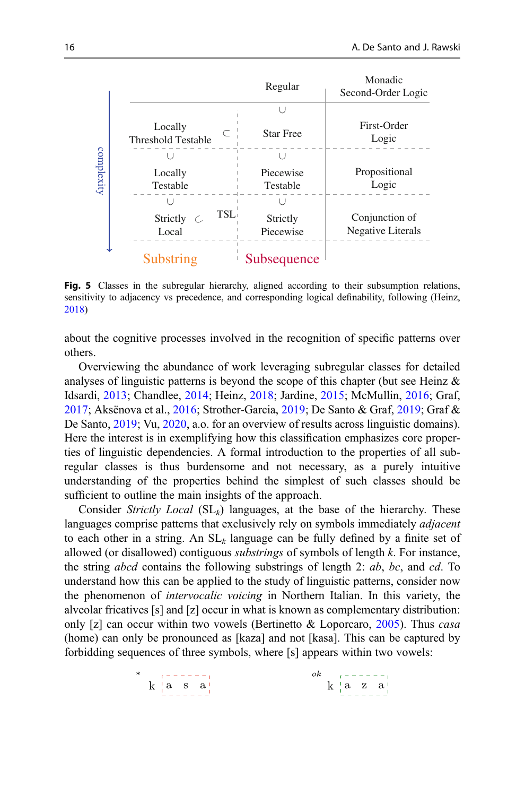<span id="page-15-0"></span>

Fig. 5 Classes in the subregular hierarchy, aligned according to their subsumption relations, sensitivity to adjacency vs precedence, and corresponding logical definability, following (Heinz, [2018\)](#page-34-0)

about the cognitive processes involved in the recognition of specific patterns over others.

Overviewing the abundance of work leveraging subregular classes for detailed analyses of linguistic patterns is beyond the scope of this chapter (but see Heinz & Idsardi, [2013;](#page-34-0) Chandlee, [2014;](#page-32-0) Heinz, [2018](#page-34-0); Jardine, [2015;](#page-34-0) McMullin, [2016](#page-35-0); Graf, [2017;](#page-33-0) Aksënova et al., [2016;](#page-31-0) Strother-Garcia, [2019;](#page-36-0) De Santo & Graf, [2019](#page-32-0); Graf & De Santo, [2019;](#page-33-0) Vu, [2020](#page-36-0), a.o. for an overview of results across linguistic domains). Here the interest is in exemplifying how this classification emphasizes core properties of linguistic dependencies. A formal introduction to the properties of all subregular classes is thus burdensome and not necessary, as a purely intuitive understanding of the properties behind the simplest of such classes should be sufficient to outline the main insights of the approach.

Consider Strictly Local  $(SL_k)$  languages, at the base of the hierarchy. These languages comprise patterns that exclusively rely on symbols immediately *adjacent* to each other in a string. An  $SL_k$  language can be fully defined by a finite set of allowed (or disallowed) contiguous *substrings* of symbols of length  $k$ . For instance, the string *abcd* contains the following substrings of length 2:  $ab$ ,  $bc$ , and  $cd$ . To understand how this can be applied to the study of linguistic patterns, consider now the phenomenon of intervocalic voicing in Northern Italian. In this variety, the alveolar fricatives [s] and [z] occur in what is known as complementary distribution: only [z] can occur within two vowels (Bertinetto  $\&$  Loporcaro, [2005\)](#page-32-0). Thus *casa* (home) can only be pronounced as [kaza] and not [kasa]. This can be captured by forbidding sequences of three symbols, where [s] appears within two vowels: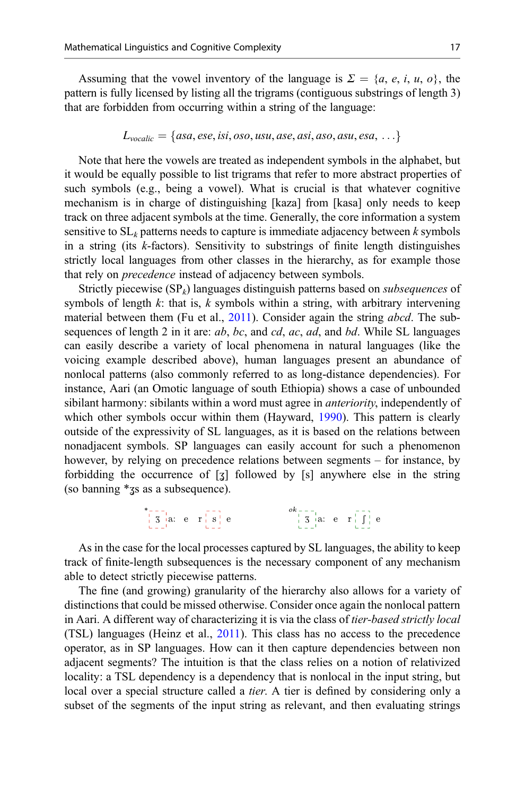Assuming that the vowel inventory of the language is  $\Sigma = \{a, e, i, u, o\}$ , the pattern is fully licensed by listing all the trigrams (contiguous substrings of length 3) that are forbidden from occurring within a string of the language:

$$
L_{\text{vocalic}} = \{ \text{asa, ese, isi, oso, usu, ase, asi, aso, asu, esa, \ldots} \}
$$

Note that here the vowels are treated as independent symbols in the alphabet, but it would be equally possible to list trigrams that refer to more abstract properties of such symbols (e.g., being a vowel). What is crucial is that whatever cognitive mechanism is in charge of distinguishing [kaza] from [kasa] only needs to keep track on three adjacent symbols at the time. Generally, the core information a system sensitive to  $SL_k$  patterns needs to capture is immediate adjacency between k symbols in a string (its k-factors). Sensitivity to substrings of finite length distinguishes strictly local languages from other classes in the hierarchy, as for example those that rely on precedence instead of adjacency between symbols.

Strictly piecewise  $(SP_k)$  languages distinguish patterns based on *subsequences* of symbols of length  $k$ : that is,  $k$  symbols within a string, with arbitrary intervening material between them (Fu et al., [2011\)](#page-33-0). Consider again the string abcd. The subsequences of length 2 in it are:  $ab$ ,  $bc$ , and  $cd$ ,  $ac$ ,  $ad$ , and  $bd$ . While SL languages can easily describe a variety of local phenomena in natural languages (like the voicing example described above), human languages present an abundance of nonlocal patterns (also commonly referred to as long-distance dependencies). For instance, Aari (an Omotic language of south Ethiopia) shows a case of unbounded sibilant harmony: sibilants within a word must agree in *anteriority*, independently of which other symbols occur within them (Hayward, [1990\)](#page-33-0). This pattern is clearly outside of the expressivity of SL languages, as it is based on the relations between nonadjacent symbols. SP languages can easily account for such a phenomenon however, by relying on precedence relations between segments – for instance, by forbidding the occurrence of  $\lceil 3 \rceil$  followed by  $\lceil s \rceil$  anywhere else in the string (so banning \*zs as a subsequence).

\*---1<br>  $\begin{bmatrix} 8 & -1 \\ 3 & 12 & 12 \\ 1 & -1 & 12 \end{bmatrix}$  e  $\begin{bmatrix} 1 & 1 & 1 \\ 1 & 1 & 1 \\ 1 & -1 & 12 \end{bmatrix}$  e  $\begin{bmatrix} 1 & 1 & 1 \\ 1 & 1 & 1 \\ 1 & -1 & 1 \end{bmatrix}$  e

As in the case for the local processes captured by SL languages, the ability to keep track of finite-length subsequences is the necessary component of any mechanism able to detect strictly piecewise patterns.

The fine (and growing) granularity of the hierarchy also allows for a variety of distinctions that could be missed otherwise. Consider once again the nonlocal pattern in Aari. A different way of characterizing it is via the class of tier-based strictly local (TSL) languages (Heinz et al., [2011](#page-34-0)). This class has no access to the precedence operator, as in SP languages. How can it then capture dependencies between non adjacent segments? The intuition is that the class relies on a notion of relativized locality: a TSL dependency is a dependency that is nonlocal in the input string, but local over a special structure called a *tier*. A tier is defined by considering only a subset of the segments of the input string as relevant, and then evaluating strings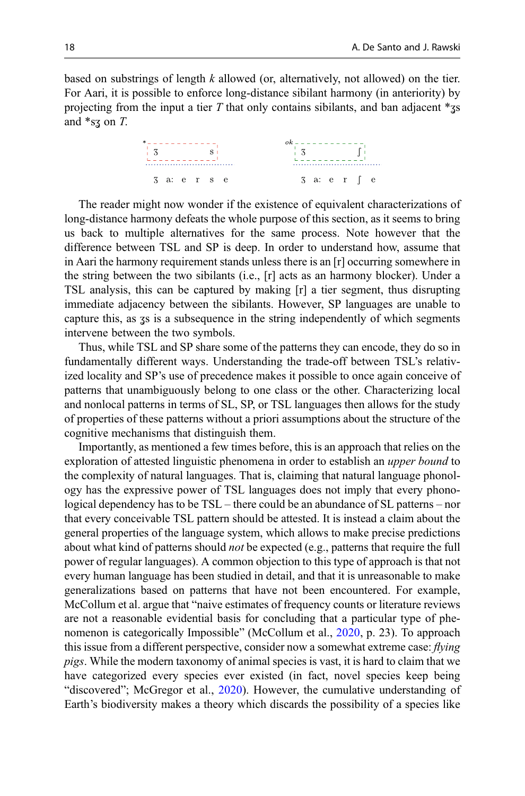based on substrings of length  $k$  allowed (or, alternatively, not allowed) on the tier. For Aari, it is possible to enforce long-distance sibilant harmony (in anteriority) by projecting from the input a tier T that only contains sibilants, and ban adjacent  $*_{\text{3}}$ and  $*_{s3}$  on T.



The reader might now wonder if the existence of equivalent characterizations of long-distance harmony defeats the whole purpose of this section, as it seems to bring us back to multiple alternatives for the same process. Note however that the difference between TSL and SP is deep. In order to understand how, assume that in Aari the harmony requirement stands unless there is an [r] occurring somewhere in the string between the two sibilants (i.e., [r] acts as an harmony blocker). Under a TSL analysis, this can be captured by making [r] a tier segment, thus disrupting immediate adjacency between the sibilants. However, SP languages are unable to capture this, as  $\overline{3}$  is a subsequence in the string independently of which segments intervene between the two symbols.

Thus, while TSL and SP share some of the patterns they can encode, they do so in fundamentally different ways. Understanding the trade-off between TSL's relativized locality and SP's use of precedence makes it possible to once again conceive of patterns that unambiguously belong to one class or the other. Characterizing local and nonlocal patterns in terms of SL, SP, or TSL languages then allows for the study of properties of these patterns without a priori assumptions about the structure of the cognitive mechanisms that distinguish them.

Importantly, as mentioned a few times before, this is an approach that relies on the exploration of attested linguistic phenomena in order to establish an *upper bound* to the complexity of natural languages. That is, claiming that natural language phonology has the expressive power of TSL languages does not imply that every phonological dependency has to be TSL – there could be an abundance of SL patterns – nor that every conceivable TSL pattern should be attested. It is instead a claim about the general properties of the language system, which allows to make precise predictions about what kind of patterns should *not* be expected (e.g., patterns that require the full power of regular languages). A common objection to this type of approach is that not every human language has been studied in detail, and that it is unreasonable to make generalizations based on patterns that have not been encountered. For example, McCollum et al. argue that "naive estimates of frequency counts or literature reviews are not a reasonable evidential basis for concluding that a particular type of phenomenon is categorically Impossible" (McCollum et al., [2020,](#page-35-0) p. 23). To approach this issue from a different perspective, consider now a somewhat extreme case:  $flying$ pigs. While the modern taxonomy of animal species is vast, it is hard to claim that we have categorized every species ever existed (in fact, novel species keep being "discovered"; McGregor et al., [2020\)](#page-35-0). However, the cumulative understanding of Earth's biodiversity makes a theory which discards the possibility of a species like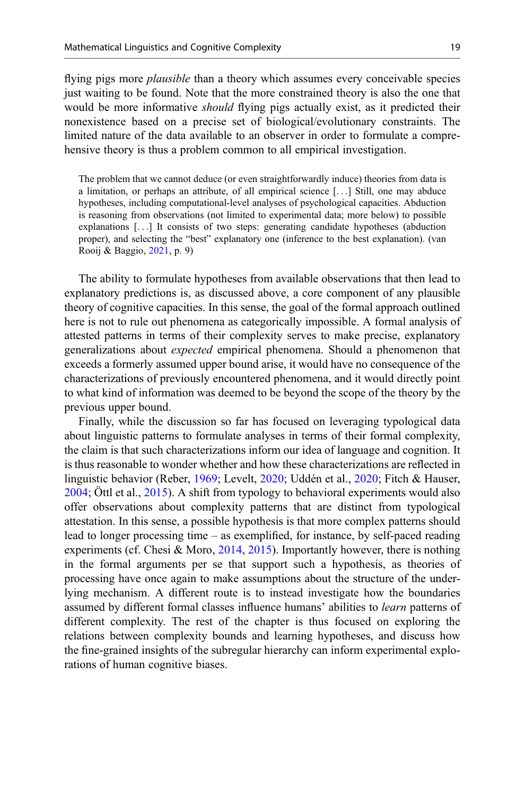flying pigs more *plausible* than a theory which assumes every conceivable species just waiting to be found. Note that the more constrained theory is also the one that would be more informative *should* flying pigs actually exist, as it predicted their nonexistence based on a precise set of biological/evolutionary constraints. The limited nature of the data available to an observer in order to formulate a comprehensive theory is thus a problem common to all empirical investigation.

The problem that we cannot deduce (or even straightforwardly induce) theories from data is a limitation, or perhaps an attribute, of all empirical science [...] Still, one may abduce hypotheses, including computational-level analyses of psychological capacities. Abduction is reasoning from observations (not limited to experimental data; more below) to possible explanations [...] It consists of two steps: generating candidate hypotheses (abduction proper), and selecting the "best" explanatory one (inference to the best explanation). (van Rooij & Baggio, [2021,](#page-36-0) p. 9)

The ability to formulate hypotheses from available observations that then lead to explanatory predictions is, as discussed above, a core component of any plausible theory of cognitive capacities. In this sense, the goal of the formal approach outlined here is not to rule out phenomena as categorically impossible. A formal analysis of attested patterns in terms of their complexity serves to make precise, explanatory generalizations about expected empirical phenomena. Should a phenomenon that exceeds a formerly assumed upper bound arise, it would have no consequence of the characterizations of previously encountered phenomena, and it would directly point to what kind of information was deemed to be beyond the scope of the theory by the previous upper bound.

Finally, while the discussion so far has focused on leveraging typological data about linguistic patterns to formulate analyses in terms of their formal complexity, the claim is that such characterizations inform our idea of language and cognition. It is thus reasonable to wonder whether and how these characterizations are reflected in linguistic behavior (Reber, [1969](#page-36-0); Levelt, [2020;](#page-34-0) Uddén et al., [2020;](#page-36-0) Fitch & Hauser, [2004;](#page-33-0) Öttl et al., [2015\)](#page-35-0). A shift from typology to behavioral experiments would also offer observations about complexity patterns that are distinct from typological attestation. In this sense, a possible hypothesis is that more complex patterns should lead to longer processing time – as exemplified, for instance, by self-paced reading experiments (cf. Chesi & Moro, [2014,](#page-32-0) [2015\)](#page-32-0). Importantly however, there is nothing in the formal arguments per se that support such a hypothesis, as theories of processing have once again to make assumptions about the structure of the underlying mechanism. A different route is to instead investigate how the boundaries assumed by different formal classes influence humans' abilities to *learn* patterns of different complexity. The rest of the chapter is thus focused on exploring the relations between complexity bounds and learning hypotheses, and discuss how the fine-grained insights of the subregular hierarchy can inform experimental explorations of human cognitive biases.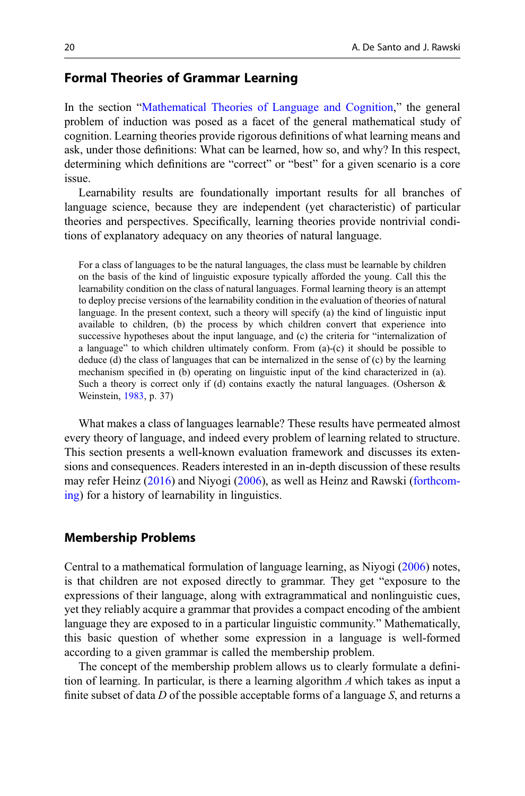## Formal Theories of Grammar Learning

In the section "[Mathematical Theories of Language and Cognition](#page-2-0)," the general problem of induction was posed as a facet of the general mathematical study of cognition. Learning theories provide rigorous definitions of what learning means and ask, under those definitions: What can be learned, how so, and why? In this respect, determining which definitions are "correct" or "best" for a given scenario is a core issue.

Learnability results are foundationally important results for all branches of language science, because they are independent (yet characteristic) of particular theories and perspectives. Specifically, learning theories provide nontrivial conditions of explanatory adequacy on any theories of natural language.

For a class of languages to be the natural languages, the class must be learnable by children on the basis of the kind of linguistic exposure typically afforded the young. Call this the learnability condition on the class of natural languages. Formal learning theory is an attempt to deploy precise versions of the learnability condition in the evaluation of theories of natural language. In the present context, such a theory will specify (a) the kind of linguistic input available to children, (b) the process by which children convert that experience into successive hypotheses about the input language, and (c) the criteria for "internalization of a language" to which children ultimately conform. From (a)-(c) it should be possible to deduce (d) the class of languages that can be internalized in the sense of (c) by the learning mechanism specified in (b) operating on linguistic input of the kind characterized in (a). Such a theory is correct only if (d) contains exactly the natural languages. (Osherson  $\&$ Weinstein, [1983,](#page-35-0) p. 37)

What makes a class of languages learnable? These results have permeated almost every theory of language, and indeed every problem of learning related to structure. This section presents a well-known evaluation framework and discusses its extensions and consequences. Readers interested in an in-depth discussion of these results may refer Heinz [\(2016](#page-34-0)) and Niyogi [\(2006](#page-35-0)), as well as Heinz and Rawski [\(forthcom](#page-34-0)[ing\)](#page-34-0) for a history of learnability in linguistics.

#### Membership Problems

Central to a mathematical formulation of language learning, as Niyogi ([2006](#page-35-0)) notes, is that children are not exposed directly to grammar. They get "exposure to the expressions of their language, along with extragrammatical and nonlinguistic cues, yet they reliably acquire a grammar that provides a compact encoding of the ambient language they are exposed to in a particular linguistic community." Mathematically, this basic question of whether some expression in a language is well-formed according to a given grammar is called the membership problem.

The concept of the membership problem allows us to clearly formulate a definition of learning. In particular, is there a learning algorithm  $\Lambda$  which takes as input a finite subset of data  $D$  of the possible acceptable forms of a language  $S$ , and returns a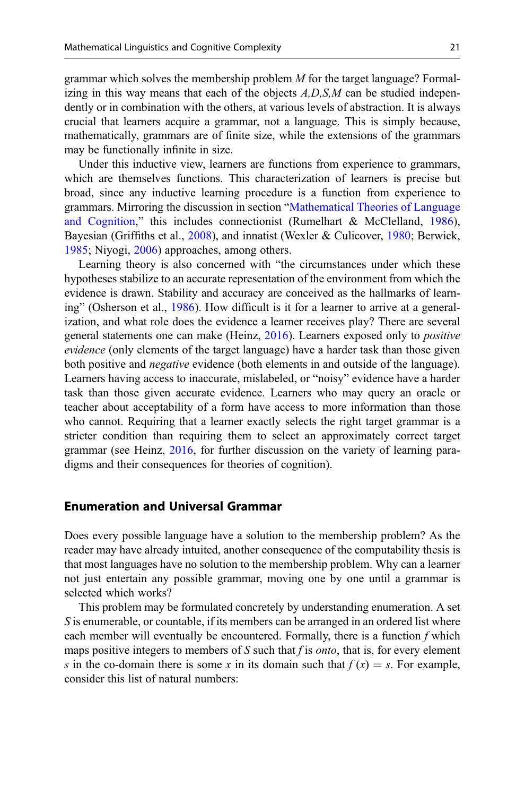grammar which solves the membership problem  $M$  for the target language? Formalizing in this way means that each of the objects  $A, D, S, M$  can be studied independently or in combination with the others, at various levels of abstraction. It is always crucial that learners acquire a grammar, not a language. This is simply because, mathematically, grammars are of finite size, while the extensions of the grammars may be functionally infinite in size.

Under this inductive view, learners are functions from experience to grammars, which are themselves functions. This characterization of learners is precise but broad, since any inductive learning procedure is a function from experience to grammars. Mirroring the discussion in section "[Mathematical Theories of Language](#page-2-0) [and Cognition](#page-2-0)," this includes connectionist (Rumelhart & McClelland, [1986\)](#page-36-0), Bayesian (Griffiths et al., [2008](#page-33-0)), and innatist (Wexler & Culicover, [1980;](#page-37-0) Berwick, [1985;](#page-32-0) Niyogi, [2006](#page-35-0)) approaches, among others.

Learning theory is also concerned with "the circumstances under which these hypotheses stabilize to an accurate representation of the environment from which the evidence is drawn. Stability and accuracy are conceived as the hallmarks of learning" (Osherson et al., [1986\)](#page-35-0). How difficult is it for a learner to arrive at a generalization, and what role does the evidence a learner receives play? There are several general statements one can make (Heinz,  $2016$ ). Learners exposed only to *positive* evidence (only elements of the target language) have a harder task than those given both positive and negative evidence (both elements in and outside of the language). Learners having access to inaccurate, mislabeled, or "noisy" evidence have a harder task than those given accurate evidence. Learners who may query an oracle or teacher about acceptability of a form have access to more information than those who cannot. Requiring that a learner exactly selects the right target grammar is a stricter condition than requiring them to select an approximately correct target grammar (see Heinz, [2016,](#page-34-0) for further discussion on the variety of learning paradigms and their consequences for theories of cognition).

## Enumeration and Universal Grammar

Does every possible language have a solution to the membership problem? As the reader may have already intuited, another consequence of the computability thesis is that most languages have no solution to the membership problem. Why can a learner not just entertain any possible grammar, moving one by one until a grammar is selected which works?

This problem may be formulated concretely by understanding enumeration. A set S is enumerable, or countable, if its members can be arranged in an ordered list where each member will eventually be encountered. Formally, there is a function  $f$  which maps positive integers to members of S such that f is *onto*, that is, for every element s in the co-domain there is some x in its domain such that  $f(x) = s$ . For example, consider this list of natural numbers: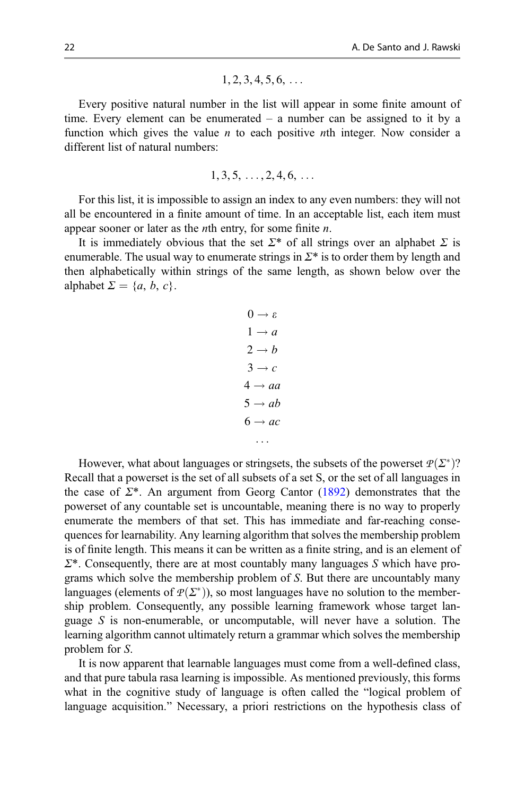$$
1, 2, 3, 4, 5, 6, \ldots
$$

Every positive natural number in the list will appear in some finite amount of time. Every element can be enumerated – a number can be assigned to it by a function which gives the value *n* to each positive *n*th integer. Now consider a different list of natural numbers:

$$
1, 3, 5, \ldots, 2, 4, 6, \ldots
$$

For this list, it is impossible to assign an index to any even numbers: they will not all be encountered in a finite amount of time. In an acceptable list, each item must appear sooner or later as the *n*th entry, for some finite *n*.

It is immediately obvious that the set  $\Sigma^*$  of all strings over an alphabet  $\Sigma$  is enumerable. The usual way to enumerate strings in  $\Sigma^*$  is to order them by length and then alphabetically within strings of the same length, as shown below over the alphabet  $\Sigma = \{a, b, c\}.$ 

> $0 \rightarrow \varepsilon$  $1 \rightarrow a$  $2 \rightarrow b$  $3 \rightarrow c$  $4 \rightarrow aa$  $5 \rightarrow ab$  $6 \rightarrow ac$ ...

However, what about languages or stringsets, the subsets of the powerset  $P(\Sigma^*)$ ?<br>call that a nowerset is the set of all subsets of a set S, or the set of all languages in Recall that a powerset is the set of all subsets of a set S, or the set of all languages in the case of  $\Sigma^*$ . An argument from Georg Cantor ([1892\)](#page-32-0) demonstrates that the powerset of any countable set is uncountable, meaning there is no way to properly enumerate the members of that set. This has immediate and far-reaching consequences for learnability. Any learning algorithm that solves the membership problem is of finite length. This means it can be written as a finite string, and is an element of  $\Sigma^*$ . Consequently, there are at most countably many languages S which have programs which solve the membership problem of S. But there are uncountably many languages (elements of  $P(\Sigma^*)$ ), so most languages have no solution to the member-<br>ship problem. Consequently, any possible learning framework whose target lanship problem. Consequently, any possible learning framework whose target language S is non-enumerable, or uncomputable, will never have a solution. The learning algorithm cannot ultimately return a grammar which solves the membership problem for S.

It is now apparent that learnable languages must come from a well-defined class, and that pure tabula rasa learning is impossible. As mentioned previously, this forms what in the cognitive study of language is often called the "logical problem of language acquisition." Necessary, a priori restrictions on the hypothesis class of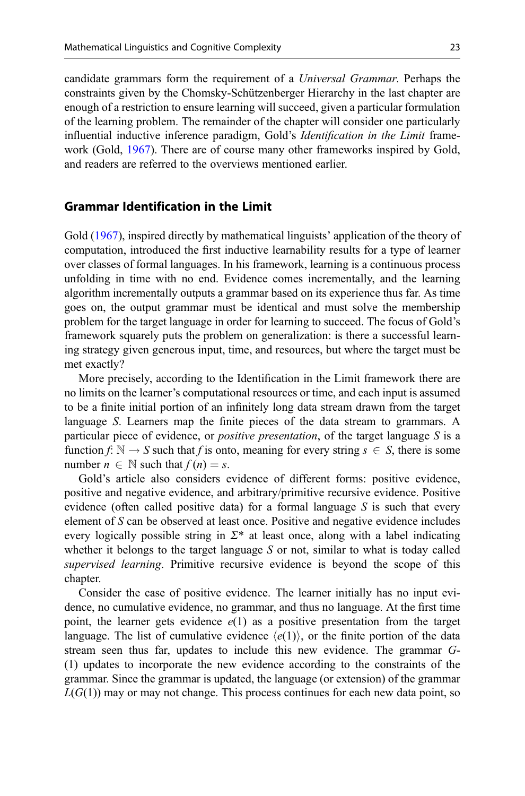candidate grammars form the requirement of a Universal Grammar. Perhaps the constraints given by the Chomsky-Schützenberger Hierarchy in the last chapter are enough of a restriction to ensure learning will succeed, given a particular formulation of the learning problem. The remainder of the chapter will consider one particularly influential inductive inference paradigm, Gold's *Identification in the Limit* framework (Gold, [1967](#page-33-0)). There are of course many other frameworks inspired by Gold, and readers are referred to the overviews mentioned earlier.

## Grammar Identification in the Limit

Gold [\(1967](#page-33-0)), inspired directly by mathematical linguists' application of the theory of computation, introduced the first inductive learnability results for a type of learner over classes of formal languages. In his framework, learning is a continuous process unfolding in time with no end. Evidence comes incrementally, and the learning algorithm incrementally outputs a grammar based on its experience thus far. As time goes on, the output grammar must be identical and must solve the membership problem for the target language in order for learning to succeed. The focus of Gold's framework squarely puts the problem on generalization: is there a successful learning strategy given generous input, time, and resources, but where the target must be met exactly?

More precisely, according to the Identification in the Limit framework there are no limits on the learner's computational resources or time, and each input is assumed to be a finite initial portion of an infinitely long data stream drawn from the target language S. Learners map the finite pieces of the data stream to grammars. A particular piece of evidence, or *positive presentation*, of the target language  $S$  is a function  $f: \mathbb{N} \to S$  such that f is onto, meaning for every string  $s \in S$ , there is some number  $n \in \mathbb{N}$  such that  $f(n) = s$ .

Gold's article also considers evidence of different forms: positive evidence, positive and negative evidence, and arbitrary/primitive recursive evidence. Positive evidence (often called positive data) for a formal language  $S$  is such that every element of S can be observed at least once. Positive and negative evidence includes every logically possible string in  $\Sigma^*$  at least once, along with a label indicating whether it belongs to the target language  $S$  or not, similar to what is today called supervised learning. Primitive recursive evidence is beyond the scope of this chapter.

Consider the case of positive evidence. The learner initially has no input evidence, no cumulative evidence, no grammar, and thus no language. At the first time point, the learner gets evidence  $e(1)$  as a positive presentation from the target language. The list of cumulative evidence  $\langle e(1) \rangle$ , or the finite portion of the data stream seen thus far, updates to include this new evidence. The grammar G- (1) updates to incorporate the new evidence according to the constraints of the grammar. Since the grammar is updated, the language (or extension) of the grammar  $L(G(1))$  may or may not change. This process continues for each new data point, so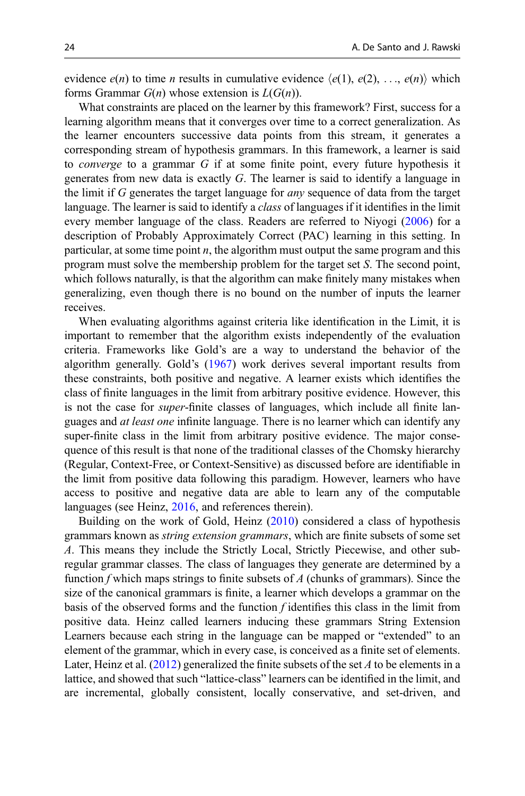evidence  $e(n)$  to time *n* results in cumulative evidence  $\langle e(1), e(2), \ldots, e(n) \rangle$  which forms Grammar  $G(n)$  whose extension is  $L(G(n))$ .

What constraints are placed on the learner by this framework? First, success for a learning algorithm means that it converges over time to a correct generalization. As the learner encounters successive data points from this stream, it generates a corresponding stream of hypothesis grammars. In this framework, a learner is said to converge to a grammar G if at some finite point, every future hypothesis it generates from new data is exactly G. The learner is said to identify a language in the limit if G generates the target language for any sequence of data from the target language. The learner is said to identify a *class* of languages if it identifies in the limit every member language of the class. Readers are referred to Niyogi [\(2006](#page-35-0)) for a description of Probably Approximately Correct (PAC) learning in this setting. In particular, at some time point  $n$ , the algorithm must output the same program and this program must solve the membership problem for the target set  $S$ . The second point, which follows naturally, is that the algorithm can make finitely many mistakes when generalizing, even though there is no bound on the number of inputs the learner receives.

When evaluating algorithms against criteria like identification in the Limit, it is important to remember that the algorithm exists independently of the evaluation criteria. Frameworks like Gold's are a way to understand the behavior of the algorithm generally. Gold's [\(1967](#page-33-0)) work derives several important results from these constraints, both positive and negative. A learner exists which identifies the class of finite languages in the limit from arbitrary positive evidence. However, this is not the case for *super*-finite classes of languages, which include all finite languages and at least one infinite language. There is no learner which can identify any super-finite class in the limit from arbitrary positive evidence. The major consequence of this result is that none of the traditional classes of the Chomsky hierarchy (Regular, Context-Free, or Context-Sensitive) as discussed before are identifiable in the limit from positive data following this paradigm. However, learners who have access to positive and negative data are able to learn any of the computable languages (see Heinz, [2016,](#page-34-0) and references therein).

Building on the work of Gold, Heinz ([2010\)](#page-34-0) considered a class of hypothesis grammars known as *string extension grammars*, which are finite subsets of some set A. This means they include the Strictly Local, Strictly Piecewise, and other subregular grammar classes. The class of languages they generate are determined by a function f which maps strings to finite subsets of A (chunks of grammars). Since the size of the canonical grammars is finite, a learner which develops a grammar on the basis of the observed forms and the function  $f$  identifies this class in the limit from positive data. Heinz called learners inducing these grammars String Extension Learners because each string in the language can be mapped or "extended" to an element of the grammar, which in every case, is conceived as a finite set of elements. Later, Heinz et al. [\(2012](#page-34-0)) generalized the finite subsets of the set A to be elements in a lattice, and showed that such "lattice-class" learners can be identified in the limit, and are incremental, globally consistent, locally conservative, and set-driven, and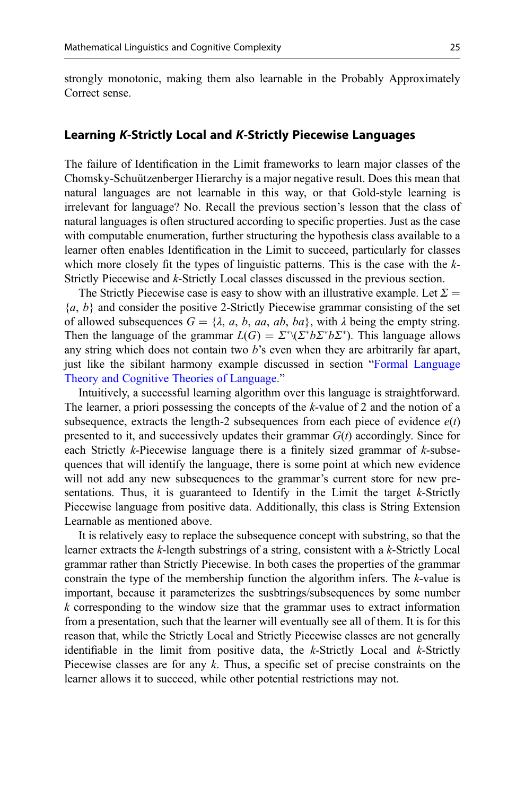strongly monotonic, making them also learnable in the Probably Approximately Correct sense.

#### Learning K-Strictly Local and K-Strictly Piecewise Languages

The failure of Identification in the Limit frameworks to learn major classes of the Chomsky-Schuützenberger Hierarchy is a major negative result. Does this mean that natural languages are not learnable in this way, or that Gold-style learning is irrelevant for language? No. Recall the previous section's lesson that the class of natural languages is often structured according to specific properties. Just as the case with computable enumeration, further structuring the hypothesis class available to a learner often enables Identification in the Limit to succeed, particularly for classes which more closely fit the types of linguistic patterns. This is the case with the  $k$ -Strictly Piecewise and k-Strictly Local classes discussed in the previous section.

The Strictly Piecewise case is easy to show with an illustrative example. Let  $\Sigma =$  ${a, b}$  and consider the positive 2-Strictly Piecewise grammar consisting of the set of allowed subsequences  $G = \{\lambda, a, b, aa, ab, ba\}$ , with  $\lambda$  being the empty string. Then the language of the grammar  $L(G) = \sum^* \langle \sum^* b \sum^* b \sum^* \rangle$ . This language allows any string which does not contain two *h*'s even when they are arbitrarily far anart any string which does not contain two  $b$ 's even when they are arbitrarily far apart, just like the sibilant harmony example discussed in section "[Formal Language](#page-8-0) [Theory and Cognitive Theories of Language.](#page-8-0)"

Intuitively, a successful learning algorithm over this language is straightforward. The learner, a priori possessing the concepts of the k-value of 2 and the notion of a subsequence, extracts the length-2 subsequences from each piece of evidence  $e(t)$ presented to it, and successively updates their grammar  $G(t)$  accordingly. Since for each Strictly k-Piecewise language there is a finitely sized grammar of  $k$ -subsequences that will identify the language, there is some point at which new evidence will not add any new subsequences to the grammar's current store for new presentations. Thus, it is guaranteed to Identify in the Limit the target  $k$ -Strictly Piecewise language from positive data. Additionally, this class is String Extension Learnable as mentioned above.

It is relatively easy to replace the subsequence concept with substring, so that the learner extracts the k-length substrings of a string, consistent with a k-Strictly Local grammar rather than Strictly Piecewise. In both cases the properties of the grammar constrain the type of the membership function the algorithm infers. The k-value is important, because it parameterizes the susbtrings/subsequences by some number  $k$  corresponding to the window size that the grammar uses to extract information from a presentation, such that the learner will eventually see all of them. It is for this reason that, while the Strictly Local and Strictly Piecewise classes are not generally identifiable in the limit from positive data, the  $k$ -Strictly Local and  $k$ -Strictly Piecewise classes are for any k. Thus, a specific set of precise constraints on the learner allows it to succeed, while other potential restrictions may not.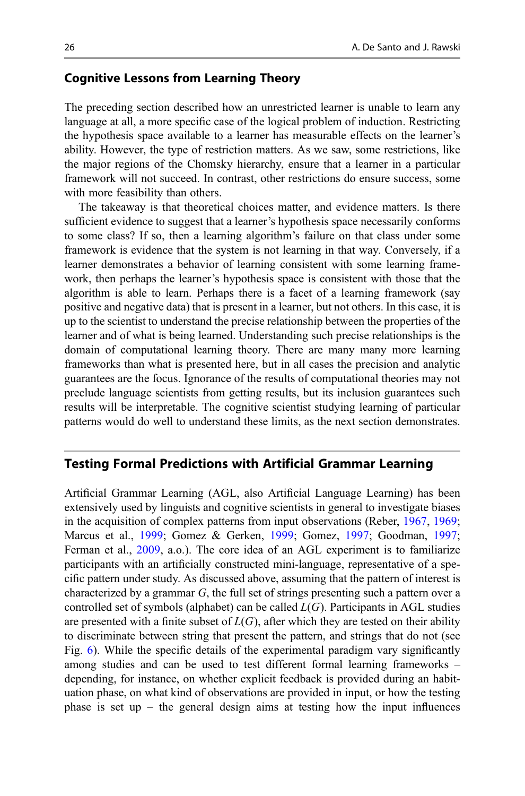#### Cognitive Lessons from Learning Theory

The preceding section described how an unrestricted learner is unable to learn any language at all, a more specific case of the logical problem of induction. Restricting the hypothesis space available to a learner has measurable effects on the learner's ability. However, the type of restriction matters. As we saw, some restrictions, like the major regions of the Chomsky hierarchy, ensure that a learner in a particular framework will not succeed. In contrast, other restrictions do ensure success, some with more feasibility than others.

The takeaway is that theoretical choices matter, and evidence matters. Is there sufficient evidence to suggest that a learner's hypothesis space necessarily conforms to some class? If so, then a learning algorithm's failure on that class under some framework is evidence that the system is not learning in that way. Conversely, if a learner demonstrates a behavior of learning consistent with some learning framework, then perhaps the learner's hypothesis space is consistent with those that the algorithm is able to learn. Perhaps there is a facet of a learning framework (say positive and negative data) that is present in a learner, but not others. In this case, it is up to the scientist to understand the precise relationship between the properties of the learner and of what is being learned. Understanding such precise relationships is the domain of computational learning theory. There are many many more learning frameworks than what is presented here, but in all cases the precision and analytic guarantees are the focus. Ignorance of the results of computational theories may not preclude language scientists from getting results, but its inclusion guarantees such results will be interpretable. The cognitive scientist studying learning of particular patterns would do well to understand these limits, as the next section demonstrates.

#### Testing Formal Predictions with Artificial Grammar Learning

Artificial Grammar Learning (AGL, also Artificial Language Learning) has been extensively used by linguists and cognitive scientists in general to investigate biases in the acquisition of complex patterns from input observations (Reber, [1967,](#page-36-0) [1969;](#page-36-0) Marcus et al., [1999;](#page-34-0) Gomez & Gerken, [1999;](#page-33-0) Gomez, [1997](#page-33-0); Goodman, [1997;](#page-33-0) Ferman et al., [2009](#page-32-0), a.o.). The core idea of an AGL experiment is to familiarize participants with an artificially constructed mini-language, representative of a specific pattern under study. As discussed above, assuming that the pattern of interest is characterized by a grammar G, the full set of strings presenting such a pattern over a controlled set of symbols (alphabet) can be called  $L(G)$ . Participants in AGL studies are presented with a finite subset of  $L(G)$ , after which they are tested on their ability to discriminate between string that present the pattern, and strings that do not (see Fig. [6\)](#page-26-0). While the specific details of the experimental paradigm vary significantly among studies and can be used to test different formal learning frameworks – depending, for instance, on whether explicit feedback is provided during an habituation phase, on what kind of observations are provided in input, or how the testing phase is set up – the general design aims at testing how the input influences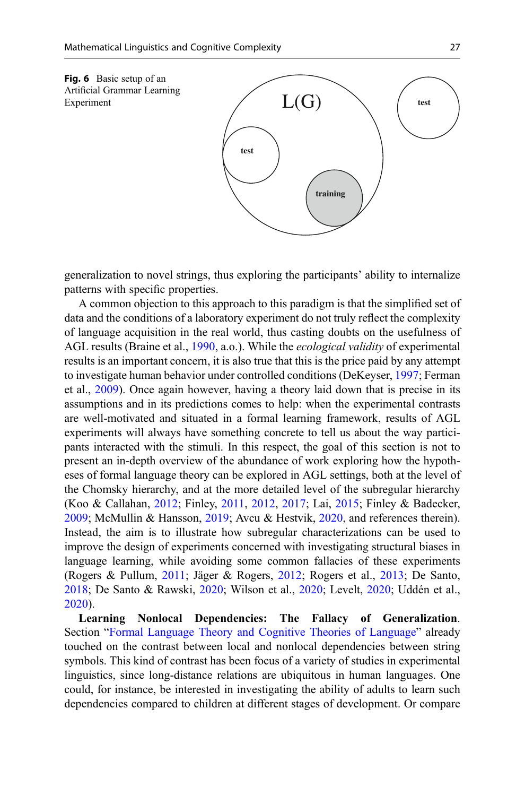<span id="page-26-0"></span>

generalization to novel strings, thus exploring the participants' ability to internalize patterns with specific properties.

A common objection to this approach to this paradigm is that the simplified set of data and the conditions of a laboratory experiment do not truly reflect the complexity of language acquisition in the real world, thus casting doubts on the usefulness of AGL results (Braine et al., [1990](#page-32-0), a.o.). While the *ecological validity* of experimental results is an important concern, it is also true that this is the price paid by any attempt to investigate human behavior under controlled conditions (DeKeyser, [1997;](#page-32-0) Ferman et al., [2009](#page-32-0)). Once again however, having a theory laid down that is precise in its assumptions and in its predictions comes to help: when the experimental contrasts are well-motivated and situated in a formal learning framework, results of AGL experiments will always have something concrete to tell us about the way participants interacted with the stimuli. In this respect, the goal of this section is not to present an in-depth overview of the abundance of work exploring how the hypotheses of formal language theory can be explored in AGL settings, both at the level of the Chomsky hierarchy, and at the more detailed level of the subregular hierarchy (Koo & Callahan, [2012](#page-34-0); Finley, [2011,](#page-33-0) [2012,](#page-33-0) [2017](#page-33-0); Lai, [2015;](#page-34-0) Finley & Badecker, [2009;](#page-33-0) McMullin & Hansson, [2019;](#page-35-0) Avcu & Hestvik, [2020](#page-32-0), and references therein). Instead, the aim is to illustrate how subregular characterizations can be used to improve the design of experiments concerned with investigating structural biases in language learning, while avoiding some common fallacies of these experiments (Rogers & Pullum, [2011](#page-36-0); Jäger & Rogers, [2012;](#page-34-0) Rogers et al., [2013](#page-36-0); De Santo, [2018;](#page-32-0) De Santo & Rawski, [2020](#page-32-0); Wilson et al., [2020](#page-37-0); Levelt, [2020](#page-34-0); Uddén et al., [2020\)](#page-36-0).

Learning Nonlocal Dependencies: The Fallacy of Generalization. Section "[Formal Language Theory and Cognitive Theories of Language](#page-8-0)" already touched on the contrast between local and nonlocal dependencies between string symbols. This kind of contrast has been focus of a variety of studies in experimental linguistics, since long-distance relations are ubiquitous in human languages. One could, for instance, be interested in investigating the ability of adults to learn such dependencies compared to children at different stages of development. Or compare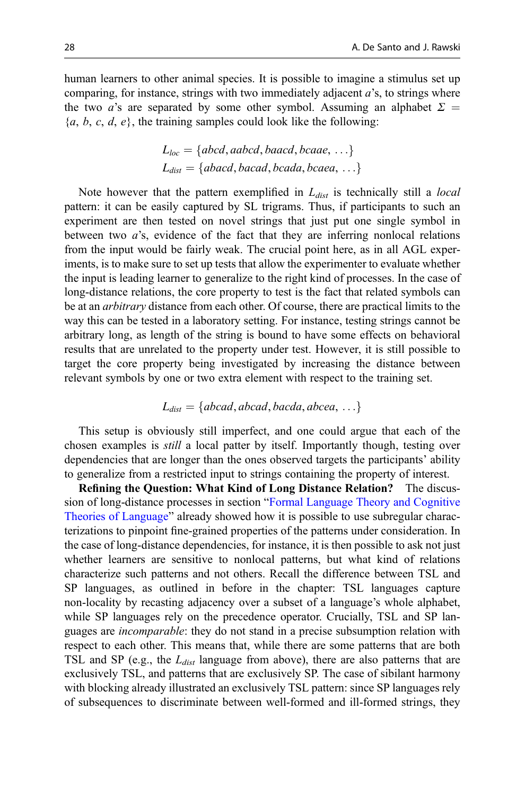human learners to other animal species. It is possible to imagine a stimulus set up comparing, for instance, strings with two immediately adjacent  $a$ 's, to strings where the two a's are separated by some other symbol. Assuming an alphabet  $\Sigma =$  ${a, b, c, d, e}$ , the training samples could look like the following:

$$
L_{loc} = \{abcd, aabcd, baacd, bcaae, ... \}
$$
  

$$
L_{dist} = \{abacd, bacad, bcada, bcaea, ... \}
$$

Note however that the pattern exemplified in  $L_{dist}$  is technically still a *local* pattern: it can be easily captured by SL trigrams. Thus, if participants to such an experiment are then tested on novel strings that just put one single symbol in between two a's, evidence of the fact that they are inferring nonlocal relations from the input would be fairly weak. The crucial point here, as in all AGL experiments, is to make sure to set up tests that allow the experimenter to evaluate whether the input is leading learner to generalize to the right kind of processes. In the case of long-distance relations, the core property to test is the fact that related symbols can be at an arbitrary distance from each other. Of course, there are practical limits to the way this can be tested in a laboratory setting. For instance, testing strings cannot be arbitrary long, as length of the string is bound to have some effects on behavioral results that are unrelated to the property under test. However, it is still possible to target the core property being investigated by increasing the distance between relevant symbols by one or two extra element with respect to the training set.

$$
L_{dist} = \{abcd, abcad, bacda, abcea, \ldots\}
$$

This setup is obviously still imperfect, and one could argue that each of the chosen examples is still a local patter by itself. Importantly though, testing over dependencies that are longer than the ones observed targets the participants' ability to generalize from a restricted input to strings containing the property of interest.

Refining the Question: What Kind of Long Distance Relation? The discussion of long-distance processes in section "[Formal Language Theory and Cognitive](#page-8-0) [Theories of Language](#page-8-0)" already showed how it is possible to use subregular characterizations to pinpoint fine-grained properties of the patterns under consideration. In the case of long-distance dependencies, for instance, it is then possible to ask not just whether learners are sensitive to nonlocal patterns, but what kind of relations characterize such patterns and not others. Recall the difference between TSL and SP languages, as outlined in before in the chapter: TSL languages capture non-locality by recasting adjacency over a subset of a language's whole alphabet, while SP languages rely on the precedence operator. Crucially, TSL and SP languages are *incomparable*: they do not stand in a precise subsumption relation with respect to each other. This means that, while there are some patterns that are both TSL and SP (e.g., the  $L_{dist}$  language from above), there are also patterns that are exclusively TSL, and patterns that are exclusively SP. The case of sibilant harmony with blocking already illustrated an exclusively TSL pattern: since SP languages rely of subsequences to discriminate between well-formed and ill-formed strings, they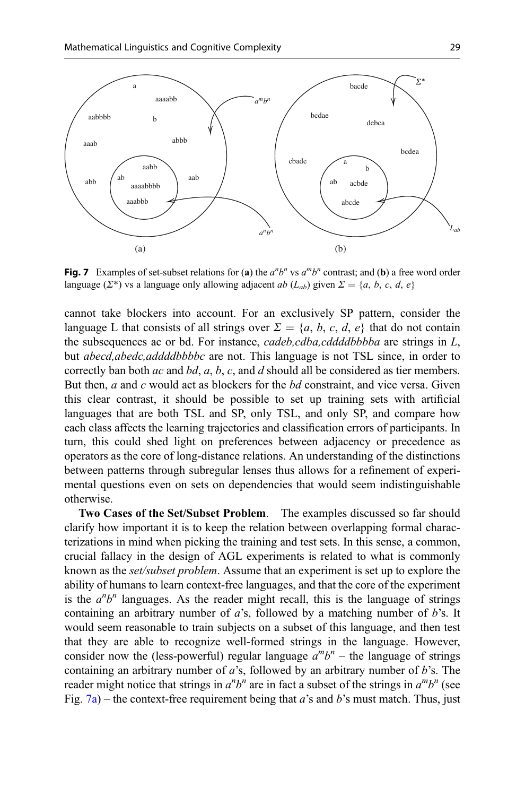<span id="page-28-0"></span>

Fig. 7 Examples of set-subset relations for (a) the  $a^n b^n$  vs  $a^m b^n$  contrast; and (b) a free word order language ( $\Sigma^*$ ) vs a language only allowing adjacent ab ( $L_{ab}$ ) given  $\Sigma = \{a, b, c, d, e\}$ 

cannot take blockers into account. For an exclusively SP pattern, consider the language L that consists of all strings over  $\Sigma = \{a, b, c, d, e\}$  that do not contain the subsequences ac or bd. For instance, cadeb,cdba,cddddbbbba are strings in L, but *abecd,abedc,addddbbbbc* are not. This language is not TSL since, in order to correctly ban both  $ac$  and  $bd$ ,  $a$ ,  $b$ ,  $c$ , and  $d$  should all be considered as tier members. But then,  $a$  and  $c$  would act as blockers for the  $bd$  constraint, and vice versa. Given this clear contrast, it should be possible to set up training sets with artificial languages that are both TSL and SP, only TSL, and only SP, and compare how each class affects the learning trajectories and classification errors of participants. In turn, this could shed light on preferences between adjacency or precedence as operators as the core of long-distance relations. An understanding of the distinctions between patterns through subregular lenses thus allows for a refinement of experimental questions even on sets on dependencies that would seem indistinguishable otherwise.

Two Cases of the Set/Subset Problem. The examples discussed so far should clarify how important it is to keep the relation between overlapping formal characterizations in mind when picking the training and test sets. In this sense, a common, crucial fallacy in the design of AGL experiments is related to what is commonly known as the set/subset problem. Assume that an experiment is set up to explore the ability of humans to learn context-free languages, and that the core of the experiment is the  $a^n b^n$  languages. As the reader might recall, this is the language of strings containing an arbitrary number of  $a$ 's, followed by a matching number of  $b$ 's. It would seem reasonable to train subjects on a subset of this language, and then test that they are able to recognize well-formed strings in the language. However, consider now the (less-powerful) regular language  $a^m b^n$  – the language of strings containing an arbitrary number of  $a$ 's, followed by an arbitrary number of  $b$ 's. The reader might notice that strings in  $a^n b^n$  are in fact a subset of the strings in  $a^m b^n$  (see Fig. 7a) – the context-free requirement being that a's and b's must match. Thus, just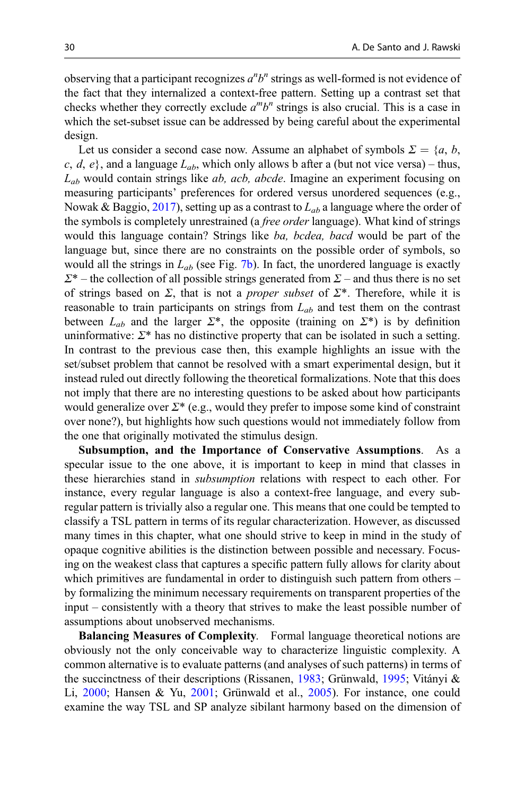observing that a participant recognizes  $a<sup>n</sup>b<sup>n</sup>$  strings as well-formed is not evidence of the fact that they internalized a context-free pattern. Setting up a contrast set that checks whether they correctly exclude  $a^m b^n$  strings is also crucial. This is a case in which the set-subset issue can be addressed by being careful about the experimental design.

Let us consider a second case now. Assume an alphabet of symbols  $\Sigma = \{a, b, \dots\}$ c, d, e}, and a language  $L_{ab}$ , which only allows b after a (but not vice versa) – thus,  $L_{ab}$  would contain strings like *ab, acb, abcde*. Imagine an experiment focusing on measuring participants' preferences for ordered versus unordered sequences (e.g., Nowak & Baggio, [2017](#page-35-0)), setting up as a contrast to  $L_{ab}$  a language where the order of the symbols is completely unrestrained (a free order language). What kind of strings would this language contain? Strings like ba, bcdea, bacd would be part of the language but, since there are no constraints on the possible order of symbols, so would all the strings in  $L_{ab}$  (see Fig. [7b\)](#page-28-0). In fact, the unordered language is exactly  $\Sigma^*$  – the collection of all possible strings generated from  $\Sigma$  – and thus there is no set of strings based on  $\Sigma$ , that is not a *proper subset* of  $\Sigma^*$ . Therefore, while it is reasonable to train participants on strings from  $L_{ab}$  and test them on the contrast between  $L_{ab}$  and the larger  $\Sigma^*$ , the opposite (training on  $\Sigma^*$ ) is by definition uninformative:  $\Sigma^*$  has no distinctive property that can be isolated in such a setting. In contrast to the previous case then, this example highlights an issue with the set/subset problem that cannot be resolved with a smart experimental design, but it instead ruled out directly following the theoretical formalizations. Note that this does not imply that there are no interesting questions to be asked about how participants would generalize over  $\Sigma^*$  (e.g., would they prefer to impose some kind of constraint over none?), but highlights how such questions would not immediately follow from the one that originally motivated the stimulus design.

Subsumption, and the Importance of Conservative Assumptions. As a specular issue to the one above, it is important to keep in mind that classes in these hierarchies stand in subsumption relations with respect to each other. For instance, every regular language is also a context-free language, and every subregular pattern is trivially also a regular one. This means that one could be tempted to classify a TSL pattern in terms of its regular characterization. However, as discussed many times in this chapter, what one should strive to keep in mind in the study of opaque cognitive abilities is the distinction between possible and necessary. Focusing on the weakest class that captures a specific pattern fully allows for clarity about which primitives are fundamental in order to distinguish such pattern from others – by formalizing the minimum necessary requirements on transparent properties of the input – consistently with a theory that strives to make the least possible number of assumptions about unobserved mechanisms.

Balancing Measures of Complexity. Formal language theoretical notions are obviously not the only conceivable way to characterize linguistic complexity. A common alternative is to evaluate patterns (and analyses of such patterns) in terms of the succinctness of their descriptions (Rissanen, [1983](#page-36-0); Grünwald, [1995;](#page-33-0) Vitányi & Li, [2000](#page-36-0); Hansen & Yu, [2001;](#page-33-0) Grünwald et al., [2005](#page-33-0)). For instance, one could examine the way TSL and SP analyze sibilant harmony based on the dimension of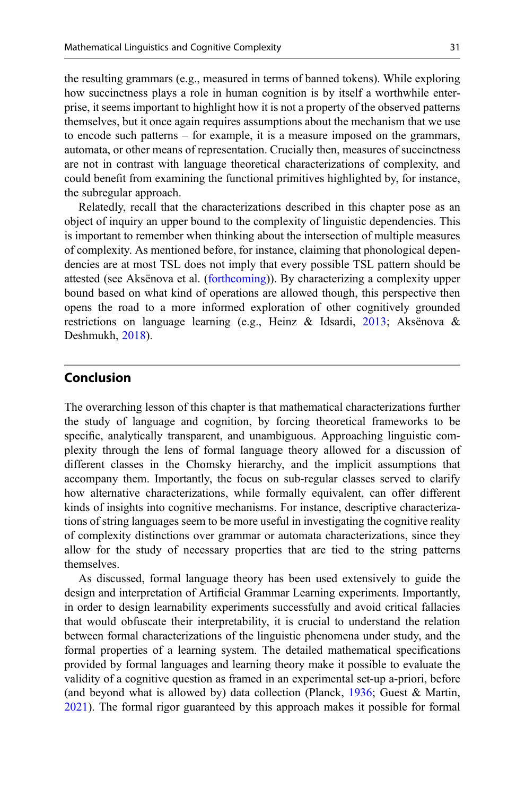the resulting grammars (e.g., measured in terms of banned tokens). While exploring how succinctness plays a role in human cognition is by itself a worthwhile enterprise, it seems important to highlight how it is not a property of the observed patterns themselves, but it once again requires assumptions about the mechanism that we use to encode such patterns – for example, it is a measure imposed on the grammars, automata, or other means of representation. Crucially then, measures of succinctness are not in contrast with language theoretical characterizations of complexity, and could benefit from examining the functional primitives highlighted by, for instance, the subregular approach.

Relatedly, recall that the characterizations described in this chapter pose as an object of inquiry an upper bound to the complexity of linguistic dependencies. This is important to remember when thinking about the intersection of multiple measures of complexity. As mentioned before, for instance, claiming that phonological dependencies are at most TSL does not imply that every possible TSL pattern should be attested (see Aksënova et al. [\(forthcoming\)](#page-31-0)). By characterizing a complexity upper bound based on what kind of operations are allowed though, this perspective then opens the road to a more informed exploration of other cognitively grounded restrictions on language learning (e.g., Heinz & Idsardi, [2013;](#page-34-0) Aksënova & Deshmukh, [2018](#page-31-0)).

## Conclusion

The overarching lesson of this chapter is that mathematical characterizations further the study of language and cognition, by forcing theoretical frameworks to be specific, analytically transparent, and unambiguous. Approaching linguistic complexity through the lens of formal language theory allowed for a discussion of different classes in the Chomsky hierarchy, and the implicit assumptions that accompany them. Importantly, the focus on sub-regular classes served to clarify how alternative characterizations, while formally equivalent, can offer different kinds of insights into cognitive mechanisms. For instance, descriptive characterizations of string languages seem to be more useful in investigating the cognitive reality of complexity distinctions over grammar or automata characterizations, since they allow for the study of necessary properties that are tied to the string patterns themselves.

As discussed, formal language theory has been used extensively to guide the design and interpretation of Artificial Grammar Learning experiments. Importantly, in order to design learnability experiments successfully and avoid critical fallacies that would obfuscate their interpretability, it is crucial to understand the relation between formal characterizations of the linguistic phenomena under study, and the formal properties of a learning system. The detailed mathematical specifications provided by formal languages and learning theory make it possible to evaluate the validity of a cognitive question as framed in an experimental set-up a-priori, before (and beyond what is allowed by) data collection (Planck,  $1936$ ; Guest & Martin, [2021\)](#page-33-0). The formal rigor guaranteed by this approach makes it possible for formal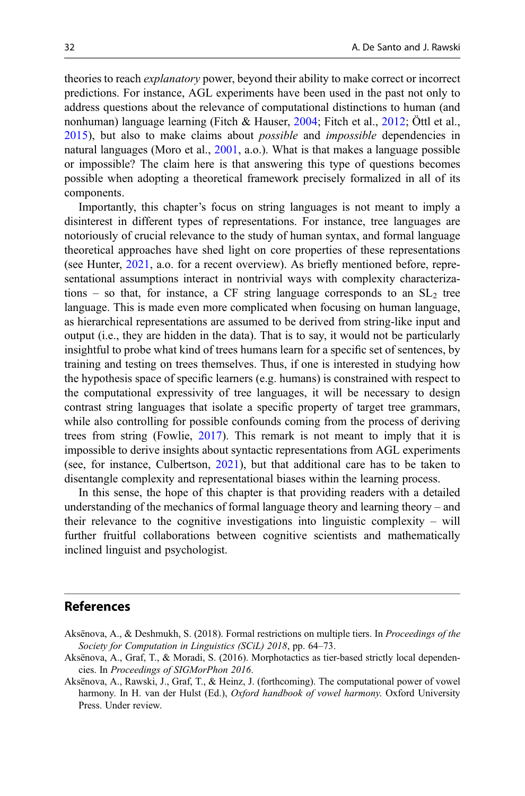<span id="page-31-0"></span>theories to reach explanatory power, beyond their ability to make correct or incorrect predictions. For instance, AGL experiments have been used in the past not only to address questions about the relevance of computational distinctions to human (and nonhuman) language learning (Fitch & Hauser, [2004;](#page-33-0) Fitch et al., [2012;](#page-33-0) Öttl et al., [2015\)](#page-35-0), but also to make claims about possible and impossible dependencies in natural languages (Moro et al., [2001,](#page-35-0) a.o.). What is that makes a language possible or impossible? The claim here is that answering this type of questions becomes possible when adopting a theoretical framework precisely formalized in all of its components.

Importantly, this chapter's focus on string languages is not meant to imply a disinterest in different types of representations. For instance, tree languages are notoriously of crucial relevance to the study of human syntax, and formal language theoretical approaches have shed light on core properties of these representations (see Hunter, [2021,](#page-34-0) a.o. for a recent overview). As briefly mentioned before, representational assumptions interact in nontrivial ways with complexity characterizations – so that, for instance, a CF string language corresponds to an  $SL_2$  tree language. This is made even more complicated when focusing on human language, as hierarchical representations are assumed to be derived from string-like input and output (i.e., they are hidden in the data). That is to say, it would not be particularly insightful to probe what kind of trees humans learn for a specific set of sentences, by training and testing on trees themselves. Thus, if one is interested in studying how the hypothesis space of specific learners (e.g. humans) is constrained with respect to the computational expressivity of tree languages, it will be necessary to design contrast string languages that isolate a specific property of target tree grammars, while also controlling for possible confounds coming from the process of deriving trees from string (Fowlie, [2017](#page-33-0)). This remark is not meant to imply that it is impossible to derive insights about syntactic representations from AGL experiments (see, for instance, Culbertson, [2021\)](#page-32-0), but that additional care has to be taken to disentangle complexity and representational biases within the learning process.

In this sense, the hope of this chapter is that providing readers with a detailed understanding of the mechanics of formal language theory and learning theory – and their relevance to the cognitive investigations into linguistic complexity – will further fruitful collaborations between cognitive scientists and mathematically inclined linguist and psychologist.

#### References

- Aksënova, A., & Deshmukh, S. (2018). Formal restrictions on multiple tiers. In Proceedings of the Society for Computation in Linguistics (SCiL) 2018, pp. 64–73.
- Aksënova, A., Graf, T., & Moradi, S. (2016). Morphotactics as tier-based strictly local dependencies. In Proceedings of SIGMorPhon 2016.
- Aksënova, A., Rawski, J., Graf, T., & Heinz, J. (forthcoming). The computational power of vowel harmony. In H. van der Hulst (Ed.), Oxford handbook of vowel harmony. Oxford University Press. Under review.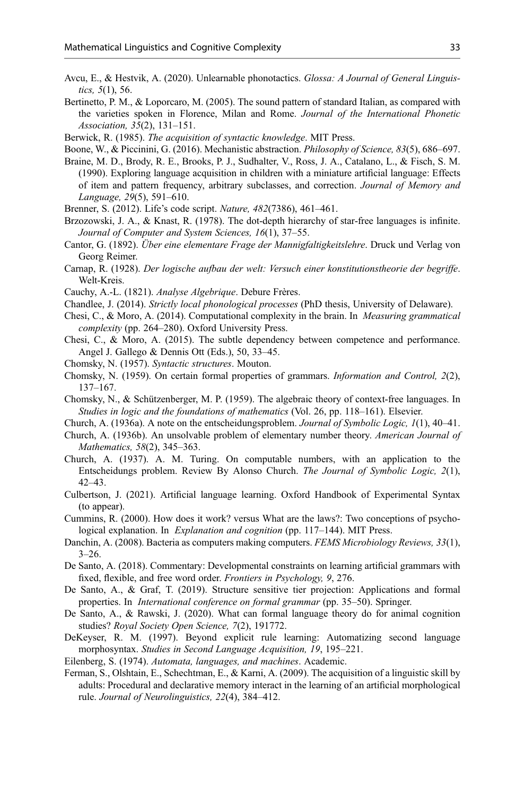- <span id="page-32-0"></span>Avcu, E., & Hestvik, A. (2020). Unlearnable phonotactics. Glossa: A Journal of General Linguistics, 5(1), 56.
- Bertinetto, P. M., & Loporcaro, M. (2005). The sound pattern of standard Italian, as compared with the varieties spoken in Florence, Milan and Rome. Journal of the International Phonetic Association, 35(2), 131–151.

Berwick, R. (1985). The acquisition of syntactic knowledge. MIT Press.

- Boone, W., & Piccinini, G. (2016). Mechanistic abstraction. Philosophy of Science, 83(5), 686–697.
- Braine, M. D., Brody, R. E., Brooks, P. J., Sudhalter, V., Ross, J. A., Catalano, L., & Fisch, S. M. (1990). Exploring language acquisition in children with a miniature artificial language: Effects of item and pattern frequency, arbitrary subclasses, and correction. Journal of Memory and Language, 29(5), 591–610.
- Brenner, S. (2012). Life's code script. Nature, 482(7386), 461–461.
- Brzozowski, J. A., & Knast, R. (1978). The dot-depth hierarchy of star-free languages is infinite. Journal of Computer and System Sciences, 16(1), 37–55.
- Cantor, G. (1892). Über eine elementare Frage der Mannigfaltigkeitslehre. Druck und Verlag von Georg Reimer.
- Carnap, R. (1928). Der logische aufbau der welt: Versuch einer konstitutionstheorie der begriffe. Welt-Kreis.
- Cauchy, A.-L. (1821). Analyse Algebrique. Debure Frères.
- Chandlee, J. (2014). Strictly local phonological processes (PhD thesis, University of Delaware).
- Chesi, C., & Moro, A. (2014). Computational complexity in the brain. In Measuring grammatical complexity (pp. 264–280). Oxford University Press.
- Chesi, C., & Moro, A. (2015). The subtle dependency between competence and performance. Angel J. Gallego & Dennis Ott (Eds.), 50, 33–45.
- Chomsky, N. (1957). Syntactic structures. Mouton.
- Chomsky, N. (1959). On certain formal properties of grammars. Information and Control, 2(2), 137–167.
- Chomsky, N., & Schützenberger, M. P. (1959). The algebraic theory of context-free languages. In Studies in logic and the foundations of mathematics (Vol. 26, pp. 118–161). Elsevier.
- Church, A. (1936a). A note on the entscheidungsproblem. Journal of Symbolic Logic, 1(1), 40–41.
- Church, A. (1936b). An unsolvable problem of elementary number theory. American Journal of Mathematics, 58(2), 345–363.
- Church, A. (1937). A. M. Turing. On computable numbers, with an application to the Entscheidungs problem. Review By Alonso Church. The Journal of Symbolic Logic, 2(1), 42–43.
- Culbertson, J. (2021). Artificial language learning. Oxford Handbook of Experimental Syntax (to appear).
- Cummins, R. (2000). How does it work? versus What are the laws?: Two conceptions of psychological explanation. In *Explanation and cognition* (pp. 117–144). MIT Press.
- Danchin, A. (2008). Bacteria as computers making computers. FEMS Microbiology Reviews, 33(1),  $3 - 26$ .
- De Santo, A. (2018). Commentary: Developmental constraints on learning artificial grammars with fixed, flexible, and free word order. Frontiers in Psychology, 9, 276.
- De Santo, A., & Graf, T. (2019). Structure sensitive tier projection: Applications and formal properties. In International conference on formal grammar (pp. 35–50). Springer.
- De Santo, A., & Rawski, J. (2020). What can formal language theory do for animal cognition studies? Royal Society Open Science, 7(2), 191772.
- DeKeyser, R. M. (1997). Beyond explicit rule learning: Automatizing second language morphosyntax. Studies in Second Language Acquisition, 19, 195–221.
- Eilenberg, S. (1974). Automata, languages, and machines. Academic.
- Ferman, S., Olshtain, E., Schechtman, E., & Karni, A. (2009). The acquisition of a linguistic skill by adults: Procedural and declarative memory interact in the learning of an artificial morphological rule. Journal of Neurolinguistics, 22(4), 384–412.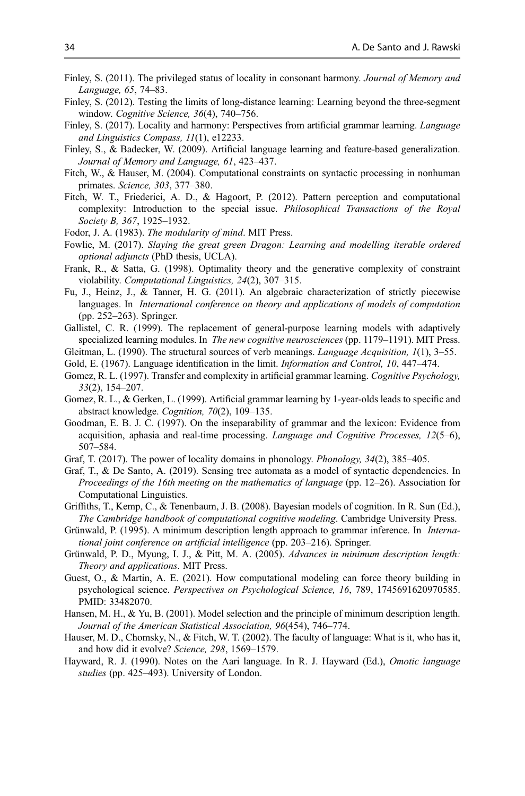- <span id="page-33-0"></span>Finley, S. (2011). The privileged status of locality in consonant harmony. Journal of Memory and Language, 65, 74–83.
- Finley, S. (2012). Testing the limits of long-distance learning: Learning beyond the three-segment window. Cognitive Science, 36(4), 740-756.
- Finley, S. (2017). Locality and harmony: Perspectives from artificial grammar learning. Language and Linguistics Compass, 11(1), e12233.
- Finley, S., & Badecker, W. (2009). Artificial language learning and feature-based generalization. Journal of Memory and Language, 61, 423–437.
- Fitch, W., & Hauser, M. (2004). Computational constraints on syntactic processing in nonhuman primates. Science, 303, 377–380.
- Fitch, W. T., Friederici, A. D., & Hagoort, P. (2012). Pattern perception and computational complexity: Introduction to the special issue. Philosophical Transactions of the Royal Society B, 367, 1925-1932.
- Fodor, J. A. (1983). The modularity of mind. MIT Press.
- Fowlie, M. (2017). Slaying the great green Dragon: Learning and modelling iterable ordered optional adjuncts (PhD thesis, UCLA).
- Frank, R., & Satta, G. (1998). Optimality theory and the generative complexity of constraint violability. Computational Linguistics, 24(2), 307–315.
- Fu, J., Heinz, J., & Tanner, H. G. (2011). An algebraic characterization of strictly piecewise languages. In International conference on theory and applications of models of computation (pp. 252–263). Springer.
- Gallistel, C. R. (1999). The replacement of general-purpose learning models with adaptively specialized learning modules. In *The new cognitive neurosciences* (pp. 1179–1191). MIT Press.
- Gleitman, L. (1990). The structural sources of verb meanings. Language Acquisition,  $I(1)$ , 3–55.
- Gold, E. (1967). Language identification in the limit. *Information and Control*, 10, 447–474.
- Gomez, R. L. (1997). Transfer and complexity in artificial grammar learning. Cognitive Psychology, 33(2), 154–207.
- Gomez, R. L., & Gerken, L. (1999). Artificial grammar learning by 1-year-olds leads to specific and abstract knowledge. Cognition, 70(2), 109–135.
- Goodman, E. B. J. C. (1997). On the inseparability of grammar and the lexicon: Evidence from acquisition, aphasia and real-time processing. Language and Cognitive Processes,  $12(5-6)$ , 507–584.
- Graf, T. (2017). The power of locality domains in phonology. *Phonology*, 34(2), 385–405.
- Graf, T., & De Santo, A. (2019). Sensing tree automata as a model of syntactic dependencies. In Proceedings of the 16th meeting on the mathematics of language (pp. 12–26). Association for Computational Linguistics.
- Griffiths, T., Kemp, C., & Tenenbaum, J. B. (2008). Bayesian models of cognition. In R. Sun (Ed.), The Cambridge handbook of computational cognitive modeling. Cambridge University Press.
- Grünwald, P. (1995). A minimum description length approach to grammar inference. In International joint conference on artificial intelligence (pp. 203–216). Springer.
- Grünwald, P. D., Myung, I. J., & Pitt, M. A. (2005). Advances in minimum description length: Theory and applications. MIT Press.
- Guest, O., & Martin, A. E. (2021). How computational modeling can force theory building in psychological science. Perspectives on Psychological Science, 16, 789, 1745691620970585. PMID: 33482070.
- Hansen, M. H., & Yu, B. (2001). Model selection and the principle of minimum description length. Journal of the American Statistical Association, 96(454), 746–774.
- Hauser, M. D., Chomsky, N., & Fitch, W. T. (2002). The faculty of language: What is it, who has it, and how did it evolve? Science, 298, 1569–1579.
- Hayward, R. J. (1990). Notes on the Aari language. In R. J. Hayward (Ed.), Omotic language studies (pp. 425–493). University of London.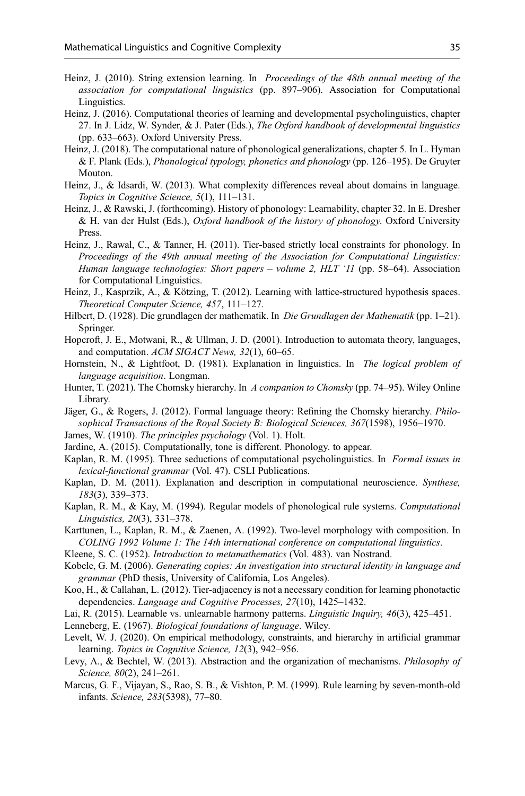- <span id="page-34-0"></span>Heinz, J. (2010). String extension learning. In *Proceedings of the 48th annual meeting of the* association for computational linguistics (pp. 897–906). Association for Computational Linguistics.
- Heinz, J. (2016). Computational theories of learning and developmental psycholinguistics, chapter 27. In J. Lidz, W. Synder, & J. Pater (Eds.), The Oxford handbook of developmental linguistics (pp. 633–663). Oxford University Press.
- Heinz, J. (2018). The computational nature of phonological generalizations, chapter 5. In L. Hyman & F. Plank (Eds.), Phonological typology, phonetics and phonology (pp. 126–195). De Gruyter Mouton.
- Heinz, J., & Idsardi, W. (2013). What complexity differences reveal about domains in language. Topics in Cognitive Science, 5(1), 111–131.
- Heinz, J., & Rawski, J. (forthcoming). History of phonology: Learnability, chapter 32. In E. Dresher & H. van der Hulst (Eds.), Oxford handbook of the history of phonology. Oxford University Press.
- Heinz, J., Rawal, C., & Tanner, H. (2011). Tier-based strictly local constraints for phonology. In Proceedings of the 49th annual meeting of the Association for Computational Linguistics: Human language technologies: Short papers – volume 2, HLT '11 (pp. 58–64). Association for Computational Linguistics.
- Heinz, J., Kasprzik, A., & Kötzing, T. (2012). Learning with lattice-structured hypothesis spaces. Theoretical Computer Science, 457, 111–127.
- Hilbert, D. (1928). Die grundlagen der mathematik. In Die Grundlagen der Mathematik (pp. 1–21). Springer.
- Hopcroft, J. E., Motwani, R., & Ullman, J. D. (2001). Introduction to automata theory, languages, and computation. ACM SIGACT News, 32(1), 60-65.
- Hornstein, N., & Lightfoot, D. (1981). Explanation in linguistics. In *The logical problem of* language acquisition. Longman.
- Hunter, T. (2021). The Chomsky hierarchy. In A companion to Chomsky (pp. 74–95). Wiley Online Library.
- Jäger, G., & Rogers, J. (2012). Formal language theory: Refining the Chomsky hierarchy. Philosophical Transactions of the Royal Society B: Biological Sciences, 367(1598), 1956–1970.
- James, W. (1910). The principles psychology (Vol. 1). Holt.
- Jardine, A. (2015). Computationally, tone is different. Phonology. to appear.
- Kaplan, R. M. (1995). Three seductions of computational psycholinguistics. In Formal issues in lexical-functional grammar (Vol. 47). CSLI Publications.
- Kaplan, D. M. (2011). Explanation and description in computational neuroscience. Synthese, 183(3), 339–373.
- Kaplan, R. M., & Kay, M. (1994). Regular models of phonological rule systems. Computational Linguistics, 20(3), 331–378.
- Karttunen, L., Kaplan, R. M., & Zaenen, A. (1992). Two-level morphology with composition. In COLING 1992 Volume 1: The 14th international conference on computational linguistics.
- Kleene, S. C. (1952). Introduction to metamathematics (Vol. 483). van Nostrand.
- Kobele, G. M. (2006). Generating copies: An investigation into structural identity in language and grammar (PhD thesis, University of California, Los Angeles).
- Koo, H., & Callahan, L. (2012). Tier-adjacency is not a necessary condition for learning phonotactic dependencies. Language and Cognitive Processes, 27(10), 1425–1432.
- Lai, R. (2015). Learnable vs. unlearnable harmony patterns. Linguistic Inquiry, 46(3), 425–451.
- Lenneberg, E. (1967). Biological foundations of language. Wiley.
- Levelt, W. J. (2020). On empirical methodology, constraints, and hierarchy in artificial grammar learning. Topics in Cognitive Science, 12(3), 942–956.
- Levy, A., & Bechtel, W. (2013). Abstraction and the organization of mechanisms. Philosophy of Science, 80(2), 241-261.
- Marcus, G. F., Vijayan, S., Rao, S. B., & Vishton, P. M. (1999). Rule learning by seven-month-old infants. Science, 283(5398), 77–80.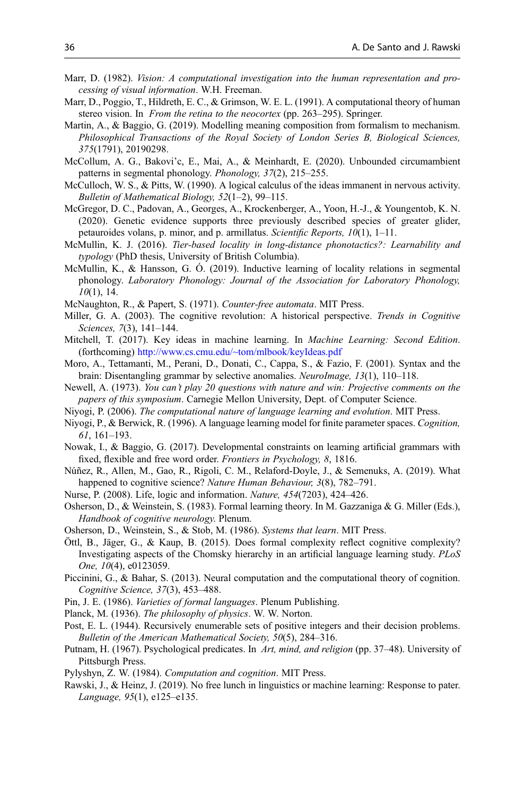- <span id="page-35-0"></span>Marr, D. (1982). *Vision: A computational investigation into the human representation and pro*cessing of visual information. W.H. Freeman.
- Marr, D., Poggio, T., Hildreth, E. C., & Grimson, W. E. L. (1991). A computational theory of human stereo vision. In From the retina to the neocortex (pp. 263–295). Springer.
- Martin, A., & Baggio, G. (2019). Modelling meaning composition from formalism to mechanism. Philosophical Transactions of the Royal Society of London Series B, Biological Sciences, 375(1791), 20190298.
- McCollum, A. G., Bakovi'c, E., Mai, A., & Meinhardt, E. (2020). Unbounded circumambient patterns in segmental phonology. Phonology, 37(2), 215–255.
- McCulloch, W. S., & Pitts, W. (1990). A logical calculus of the ideas immanent in nervous activity. Bulletin of Mathematical Biology, 52(1–2), 99–115.
- McGregor, D. C., Padovan, A., Georges, A., Krockenberger, A., Yoon, H.-J., & Youngentob, K. N. (2020). Genetic evidence supports three previously described species of greater glider, petauroides volans, p. minor, and p. armillatus. Scientific Reports, 10(1), 1–11.
- McMullin, K. J. (2016). Tier-based locality in long-distance phonotactics?: Learnability and typology (PhD thesis, University of British Columbia).
- McMullin, K., & Hansson, G. Ó. (2019). Inductive learning of locality relations in segmental phonology. Laboratory Phonology: Journal of the Association for Laboratory Phonology,  $10(1)$ , 14.
- McNaughton, R., & Papert, S. (1971). Counter-free automata. MIT Press.
- Miller, G. A. (2003). The cognitive revolution: A historical perspective. Trends in Cognitive Sciences, 7(3), 141–144.
- Mitchell, T. (2017). Key ideas in machine learning. In Machine Learning: Second Edition. (forthcoming) <http://www.cs.cmu.edu/~tom/mlbook/keyIdeas.pdf>
- Moro, A., Tettamanti, M., Perani, D., Donati, C., Cappa, S., & Fazio, F. (2001). Syntax and the brain: Disentangling grammar by selective anomalies. NeuroImage, 13(1), 110–118.
- Newell, A. (1973). You can't play 20 questions with nature and win: Projective comments on the papers of this symposium. Carnegie Mellon University, Dept. of Computer Science.
- Niyogi, P. (2006). The computational nature of language learning and evolution. MIT Press.
- Niyogi, P., & Berwick, R. (1996). A language learning model for finite parameter spaces. Cognition, 61, 161–193.
- Nowak, I., & Baggio, G. (2017). Developmental constraints on learning artificial grammars with fixed, flexible and free word order. Frontiers in Psychology, 8, 1816.
- Núñez, R., Allen, M., Gao, R., Rigoli, C. M., Relaford-Doyle, J., & Semenuks, A. (2019). What happened to cognitive science? Nature Human Behaviour, 3(8), 782-791.
- Nurse, P. (2008). Life, logic and information. Nature, 454(7203), 424–426.
- Osherson, D., & Weinstein, S. (1983). Formal learning theory. In M. Gazzaniga & G. Miller (Eds.), Handbook of cognitive neurology. Plenum.
- Osherson, D., Weinstein, S., & Stob, M. (1986). Systems that learn. MIT Press.
- Öttl, B., Jäger, G., & Kaup, B. (2015). Does formal complexity reflect cognitive complexity? Investigating aspects of the Chomsky hierarchy in an artificial language learning study. PLoS One, 10(4), e0123059.
- Piccinini, G., & Bahar, S. (2013). Neural computation and the computational theory of cognition. Cognitive Science, 37(3), 453–488.
- Pin, J. E. (1986). Varieties of formal languages. Plenum Publishing.
- Planck, M. (1936). The philosophy of physics. W. W. Norton.
- Post, E. L. (1944). Recursively enumerable sets of positive integers and their decision problems. Bulletin of the American Mathematical Society, 50(5), 284–316.
- Putnam, H. (1967). Psychological predicates. In Art, mind, and religion (pp. 37–48). University of Pittsburgh Press.
- Pylyshyn, Z. W. (1984). Computation and cognition. MIT Press.
- Rawski, J., & Heinz, J. (2019). No free lunch in linguistics or machine learning: Response to pater. Language, 95(1), e125–e135.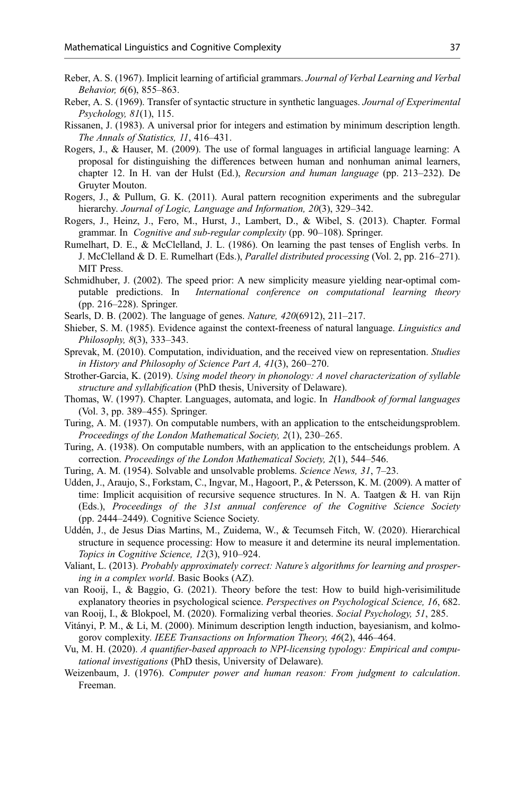- <span id="page-36-0"></span>Reber, A. S. (1967). Implicit learning of artificial grammars. Journal of Verbal Learning and Verbal Behavior, 6(6), 855–863.
- Reber, A. S. (1969). Transfer of syntactic structure in synthetic languages. Journal of Experimental Psychology, 81(1), 115.
- Rissanen, J. (1983). A universal prior for integers and estimation by minimum description length. The Annals of Statistics, 11, 416–431.
- Rogers, J., & Hauser, M. (2009). The use of formal languages in artificial language learning: A proposal for distinguishing the differences between human and nonhuman animal learners, chapter 12. In H. van der Hulst (Ed.), Recursion and human language (pp. 213–232). De Gruyter Mouton.
- Rogers, J., & Pullum, G. K. (2011). Aural pattern recognition experiments and the subregular hierarchy. Journal of Logic, Language and Information, 20(3), 329–342.
- Rogers, J., Heinz, J., Fero, M., Hurst, J., Lambert, D., & Wibel, S. (2013). Chapter. Formal grammar. In Cognitive and sub-regular complexity (pp. 90–108). Springer.
- Rumelhart, D. E., & McClelland, J. L. (1986). On learning the past tenses of English verbs. In J. McClelland & D. E. Rumelhart (Eds.), Parallel distributed processing (Vol. 2, pp. 216–271). MIT Press.
- Schmidhuber, J. (2002). The speed prior: A new simplicity measure yielding near-optimal computable predictions. In International conference on computational learning theory (pp. 216–228). Springer.
- Searls, D. B. (2002). The language of genes. Nature, 420(6912), 211–217.
- Shieber, S. M. (1985). Evidence against the context-freeness of natural language. *Linguistics and* Philosophy, 8(3), 333–343.
- Sprevak, M. (2010). Computation, individuation, and the received view on representation. Studies in History and Philosophy of Science Part A, 41(3), 260–270.
- Strother-Garcia, K. (2019). Using model theory in phonology: A novel characterization of syllable structure and syllabification (PhD thesis, University of Delaware).
- Thomas, W. (1997). Chapter. Languages, automata, and logic. In Handbook of formal languages (Vol. 3, pp. 389–455). Springer.
- Turing, A. M. (1937). On computable numbers, with an application to the entscheidungsproblem. Proceedings of the London Mathematical Society, 2(1), 230–265.
- Turing, A. (1938). On computable numbers, with an application to the entscheidungs problem. A correction. Proceedings of the London Mathematical Society, 2(1), 544–546.
- Turing, A. M. (1954). Solvable and unsolvable problems. Science News, 31, 7-23.
- Udden, J., Araujo, S., Forkstam, C., Ingvar, M., Hagoort, P., & Petersson, K. M. (2009). A matter of time: Implicit acquisition of recursive sequence structures. In N. A. Taatgen & H. van Rijn (Eds.), Proceedings of the 31st annual conference of the Cognitive Science Society (pp. 2444–2449). Cognitive Science Society.
- Uddén, J., de Jesus Dias Martins, M., Zuidema, W., & Tecumseh Fitch, W. (2020). Hierarchical structure in sequence processing: How to measure it and determine its neural implementation. Topics in Cognitive Science, 12(3), 910–924.
- Valiant, L. (2013). Probably approximately correct: Nature's algorithms for learning and prospering in a complex world. Basic Books (AZ).
- van Rooij, I., & Baggio, G. (2021). Theory before the test: How to build high-verisimilitude explanatory theories in psychological science. Perspectives on Psychological Science, 16, 682.
- van Rooij, I., & Blokpoel, M. (2020). Formalizing verbal theories. Social Psychology, 51, 285.
- Vitányi, P. M., & Li, M. (2000). Minimum description length induction, bayesianism, and kolmogorov complexity. IEEE Transactions on Information Theory, 46(2), 446–464.
- Vu, M. H. (2020). A quantifier-based approach to NPI-licensing typology: Empirical and computational investigations (PhD thesis, University of Delaware).
- Weizenbaum, J. (1976). Computer power and human reason: From judgment to calculation. Freeman.